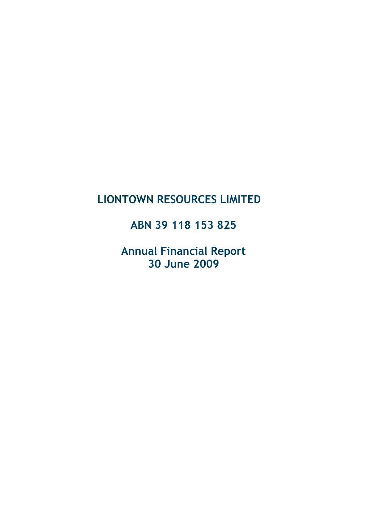# LIONTOWN RESOURCES LIMITED

# ABN 39 118 153 825

Annual Financial Report 30 June 2009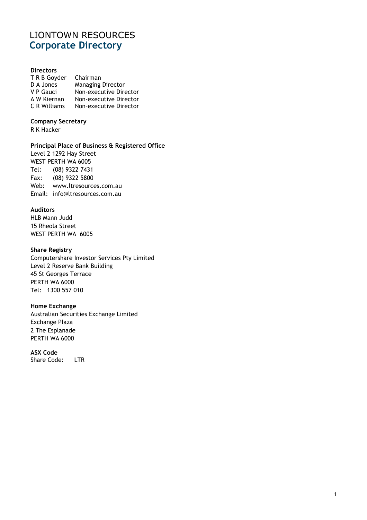# LIONTOWN RESOURCES Corporate Directory

#### **Directors**

| T R B Goyder        | Chairman                 |
|---------------------|--------------------------|
| D A Jones           | <b>Managing Director</b> |
| V P Gauci           | Non-executive Director   |
| A W Kiernan         | Non-executive Director   |
| <b>C</b> R Williams | Non-executive Director   |

### Company Secretary

R K Hacker

#### Principal Place of Business & Registered Office

Level 2 1292 Hay Street WEST PERTH WA 6005 Tel: (08) 9322 7431 Fax: (08) 9322 5800 Web: www.ltresources.com.au Email: info@ltresources.com.au

#### Auditors

HLB Mann Judd 15 Rheola Street WEST PERTH WA 6005

#### Share Registry

Computershare Investor Services Pty Limited Level 2 Reserve Bank Building 45 St Georges Terrace PERTH WA 6000 Tel: 1300 557 010

#### Home Exchange

Australian Securities Exchange Limited Exchange Plaza 2 The Esplanade PERTH WA 6000

#### ASX Code

Share Code: LTR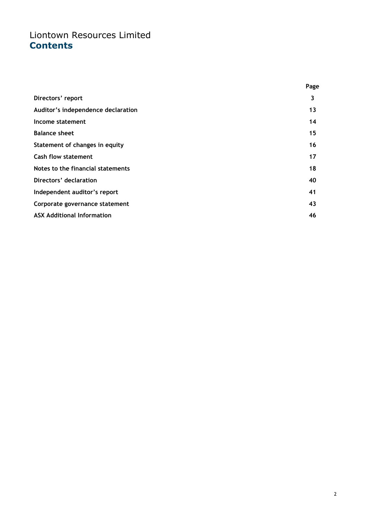# Liontown Resources Limited **Contents**

|                                    | Page |
|------------------------------------|------|
| Directors' report                  | 3    |
| Auditor's independence declaration | 13   |
| Income statement                   | 14   |
| <b>Balance sheet</b>               | 15   |
| Statement of changes in equity     | 16   |
| <b>Cash flow statement</b>         | 17   |
| Notes to the financial statements  | 18   |
| Directors' declaration             | 40   |
| Independent auditor's report       | 41   |
| Corporate governance statement     | 43   |
| <b>ASX Additional Information</b>  | 46   |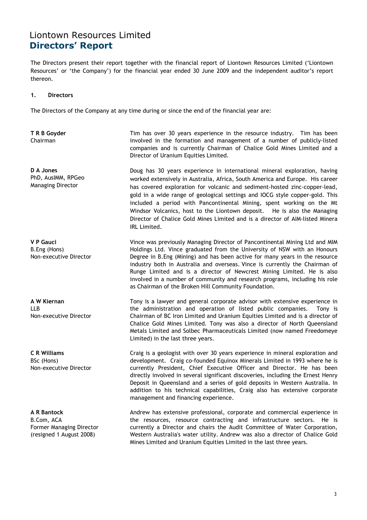The Directors present their report together with the financial report of Liontown Resources Limited ('Liontown Resources' or 'the Company') for the financial year ended 30 June 2009 and the independent auditor's report thereon.

#### 1. Directors

The Directors of the Company at any time during or since the end of the financial year are:

T R B Goyder Chairman

D A Jones PhD, AusIMM, RPGeo Managing Director

V P Gauci B.Eng (Hons) Non-executive Director

A W Kiernan LLB Non-executive Director

C R Williams BSc (Hons) Non-executive Director

A R Bantock B.Com, ACA Former Managing Director (resigned 1 August 2008)

 Tim has over 30 years experience in the resource industry. Tim has been involved in the formation and management of a number of publicly-listed companies and is currently Chairman of Chalice Gold Mines Limited and a Director of Uranium Equities Limited.

Doug has 30 years experience in international mineral exploration, having worked extensively in Australia, Africa, South America and Europe. His career has covered exploration for volcanic and sediment-hosted zinc-copper-lead, gold in a wide range of geological settings and IOCG style copper-gold. This included a period with Pancontinental Mining, spent working on the Mt Windsor Volcanics, host to the Liontown deposit. He is also the Managing Director of Chalice Gold Mines Limited and is a director of AIM-listed Minera IRL Limited.

 Vince was previously Managing Director of Pancontinental Mining Ltd and MIM Holdings Ltd. Vince graduated from the University of NSW with an Honours Degree in B.Eng (Mining) and has been active for many years in the resource industry both in Australia and overseas. Vince is currently the Chairman of Runge Limited and is a director of Newcrest Mining Limited. He is also involved in a number of community and research programs, including his role as Chairman of the Broken Hill Community Foundation.

 Tony is a lawyer and general corporate advisor with extensive experience in the administration and operation of listed public companies. Tony is Chairman of BC Iron Limited and Uranium Equities Limited and is a director of Chalice Gold Mines Limited. Tony was also a director of North Queensland Metals Limited and Solbec Pharmaceuticals Limited (now named Freedomeye Limited) in the last three years.

 Craig is a geologist with over 30 years experience in mineral exploration and development. Craig co-founded Equinox Minerals Limited in 1993 where he is currently President, Chief Executive Officer and Director. He has been directly involved in several significant discoveries, including the Ernest Henry Deposit in Queensland and a series of gold deposits in Western Australia. In addition to his technical capabilities, Craig also has extensive corporate management and financing experience.

 Andrew has extensive professional, corporate and commercial experience in the resources, resource contracting and infrastructure sectors. He is currently a Director and chairs the Audit Committee of Water Corporation, Western Australia's water utility. Andrew was also a director of Chalice Gold Mines Limited and Uranium Equities Limited in the last three years.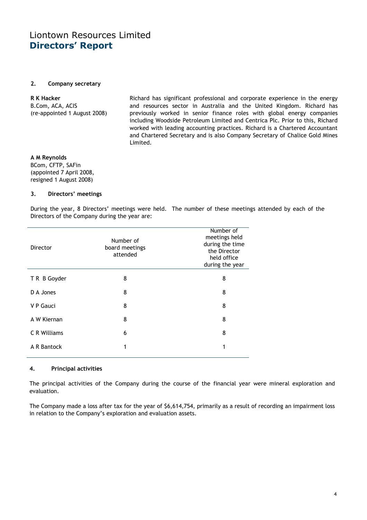#### 2. Company secretary

#### R K Hacker B.Com, ACA, ACIS (re-appointed 1 August 2008)

 Richard has significant professional and corporate experience in the energy and resources sector in Australia and the United Kingdom. Richard has previously worked in senior finance roles with global energy companies including Woodside Petroleum Limited and Centrica Plc. Prior to this, Richard worked with leading accounting practices. Richard is a Chartered Accountant and Chartered Secretary and is also Company Secretary of Chalice Gold Mines Limited.

#### A M Reynolds

BCom, CFTP, SAFin (appointed 7 April 2008, resigned 1 August 2008)

#### 3. Directors' meetings

During the year, 8 Directors' meetings were held. The number of these meetings attended by each of the Directors of the Company during the year are:

| Director            | Number of<br>board meetings<br>attended | Number of<br>meetings held<br>during the time<br>the Director<br>held office<br>during the year |
|---------------------|-----------------------------------------|-------------------------------------------------------------------------------------------------|
| T R B Goyder        | 8                                       | 8                                                                                               |
| D A Jones           | 8                                       | 8                                                                                               |
| V P Gauci           | 8                                       | 8                                                                                               |
| A W Kiernan         | 8                                       | 8                                                                                               |
| <b>C R Williams</b> | 6                                       | 8                                                                                               |
| A R Bantock         | 1                                       | 1                                                                                               |
|                     |                                         |                                                                                                 |

#### 4. Principal activities

The principal activities of the Company during the course of the financial year were mineral exploration and evaluation.

The Company made a loss after tax for the year of \$6,614,754, primarily as a result of recording an impairment loss in relation to the Company's exploration and evaluation assets.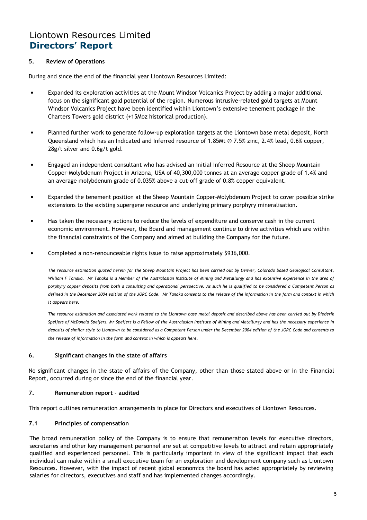#### 5. Review of Operations

During and since the end of the financial year Liontown Resources Limited:

- Expanded its exploration activities at the Mount Windsor Volcanics Project by adding a major additional focus on the significant gold potential of the region. Numerous intrusive-related gold targets at Mount Windsor Volcanics Project have been identified within Liontown's extensive tenement package in the Charters Towers gold district (+15Moz historical production).
- Planned further work to generate follow-up exploration targets at the Liontown base metal deposit, North Queensland which has an Indicated and Inferred resource of 1.85Mt @ 7.5% zinc, 2.4% lead, 0.6% copper, 28g/t silver and 0.6g/t gold.
- Engaged an independent consultant who has advised an initial Inferred Resource at the Sheep Mountain Copper-Molybdenum Project in Arizona, USA of 40,300,000 tonnes at an average copper grade of 1.4% and an average molybdenum grade of 0.035% above a cut-off grade of 0.8% copper equivalent.
- Expanded the tenement position at the Sheep Mountain Copper-Molybdenum Project to cover possible strike extensions to the existing supergene resource and underlying primary porphyry mineralisation.
- Has taken the necessary actions to reduce the levels of expenditure and conserve cash in the current economic environment. However, the Board and management continue to drive activities which are within the financial constraints of the Company and aimed at building the Company for the future.
- Completed a non-renounceable rights issue to raise approximately \$936,000.

The resource estimation quoted herein for the Sheep Mountain Project has been carried out by Denver, Colorado based Geological Consultant, William F Tanaka. Mr Tanaka is a Member of the Australasian Institute of Mining and Metallurgy and has extensive experience in the area of porphyry copper deposits from both a consulting and operational perspective. As such he is qualified to be considered a Competent Person as defined in the December 2004 edition of the JORC Code. Mr Tanaka consents to the release of the information in the form and context in which it appears here.

The resource estimation and associated work related to the Liontown base metal deposit and described above has been carried out by Diederik Speijers of McDonald Speijers. Mr Speijers is a Fellow of the Australasian Institute of Mining and Metallurgy and has the necessary experience in deposits of similar style to Liontown to be considered as a Competent Person under the December 2004 edition of the JORC Code and consents to the release of information in the form and context in which is appears here.

#### 6. Significant changes in the state of affairs

No significant changes in the state of affairs of the Company, other than those stated above or in the Financial Report, occurred during or since the end of the financial year.

#### 7. Remuneration report - audited

This report outlines remuneration arrangements in place for Directors and executives of Liontown Resources.

#### 7.1 Principles of compensation

The broad remuneration policy of the Company is to ensure that remuneration levels for executive directors, secretaries and other key management personnel are set at competitive levels to attract and retain appropriately qualified and experienced personnel. This is particularly important in view of the significant impact that each individual can make within a small executive team for an exploration and development company such as Liontown Resources. However, with the impact of recent global economics the board has acted appropriately by reviewing salaries for directors, executives and staff and has implemented changes accordingly.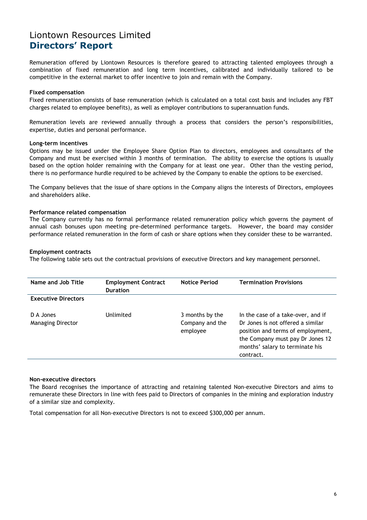Remuneration offered by Liontown Resources is therefore geared to attracting talented employees through a combination of fixed remuneration and long term incentives, calibrated and individually tailored to be competitive in the external market to offer incentive to join and remain with the Company.

#### Fixed compensation

Fixed remuneration consists of base remuneration (which is calculated on a total cost basis and includes any FBT charges related to employee benefits), as well as employer contributions to superannuation funds.

Remuneration levels are reviewed annually through a process that considers the person's responsibilities, expertise, duties and personal performance.

#### Long-term incentives

Options may be issued under the Employee Share Option Plan to directors, employees and consultants of the Company and must be exercised within 3 months of termination. The ability to exercise the options is usually based on the option holder remaining with the Company for at least one year. Other than the vesting period, there is no performance hurdle required to be achieved by the Company to enable the options to be exercised.

The Company believes that the issue of share options in the Company aligns the interests of Directors, employees and shareholders alike.

#### Performance related compensation

The Company currently has no formal performance related remuneration policy which governs the payment of annual cash bonuses upon meeting pre-determined performance targets. However, the board may consider performance related remuneration in the form of cash or share options when they consider these to be warranted.

#### Employment contracts

The following table sets out the contractual provisions of executive Directors and key management personnel.

| Name and Job Title                    | <b>Employment Contract</b><br><b>Duration</b> | <b>Notice Period</b>                           | <b>Termination Provisions</b>                                                                                                                                                                    |
|---------------------------------------|-----------------------------------------------|------------------------------------------------|--------------------------------------------------------------------------------------------------------------------------------------------------------------------------------------------------|
| <b>Executive Directors</b>            |                                               |                                                |                                                                                                                                                                                                  |
| D A Jones<br><b>Managing Director</b> | Unlimited                                     | 3 months by the<br>Company and the<br>employee | In the case of a take-over, and if<br>Dr Jones is not offered a similar<br>position and terms of employment,<br>the Company must pay Dr Jones 12<br>months' salary to terminate his<br>contract. |
|                                       |                                               |                                                |                                                                                                                                                                                                  |

#### Non-executive directors

The Board recognises the importance of attracting and retaining talented Non-executive Directors and aims to remunerate these Directors in line with fees paid to Directors of companies in the mining and exploration industry of a similar size and complexity.

Total compensation for all Non-executive Directors is not to exceed \$300,000 per annum.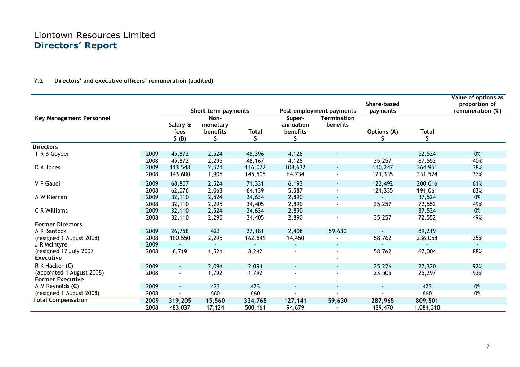#### 7.2 Directors' and executive officers' remuneration (audited)

| <b>Termination</b><br>Key Management Personnel<br>Non-<br>Super-<br>annuation<br>benefits<br>Salary &<br>monetary<br>benefits<br><b>Total</b><br>benefits<br>fees<br>Options (A)<br><b>Total</b><br>\$ (B)<br>S<br>S<br><b>Directors</b><br>0%<br>2009<br>45,872<br>2,524<br>48,396<br>4,128<br>52,524<br>T R B Goyder<br>$\blacksquare$<br>$\sim$<br>2,295<br>4,128<br>35,257<br>40%<br>2008<br>45,872<br>48,167<br>87,552<br>D A Jones<br>2009<br>113,548<br>2,524<br>116,072<br>108,632<br>140,247<br>38%<br>364,951<br>$\sim$<br>2008<br>1,905<br>145,505<br>121,335<br>37%<br>143,600<br>64,734<br>331,574<br>200,016<br>61%<br>2009<br>68,807<br>2,524<br>71,331<br>6,193<br>122,492<br>V P Gauci<br>$\sim$<br>2,063<br>5,587<br>63%<br>2008<br>62,076<br>64,139<br>191,061<br>121,335<br>$\blacksquare$ |             |      |        | Short-term payments |        |       | Post-employment payments | Share-based<br>payments |        | Value of options as<br>proportion of<br>remuneration (%) |
|----------------------------------------------------------------------------------------------------------------------------------------------------------------------------------------------------------------------------------------------------------------------------------------------------------------------------------------------------------------------------------------------------------------------------------------------------------------------------------------------------------------------------------------------------------------------------------------------------------------------------------------------------------------------------------------------------------------------------------------------------------------------------------------------------------------|-------------|------|--------|---------------------|--------|-------|--------------------------|-------------------------|--------|----------------------------------------------------------|
|                                                                                                                                                                                                                                                                                                                                                                                                                                                                                                                                                                                                                                                                                                                                                                                                                |             |      |        |                     |        |       |                          |                         |        |                                                          |
|                                                                                                                                                                                                                                                                                                                                                                                                                                                                                                                                                                                                                                                                                                                                                                                                                |             |      |        |                     |        |       |                          |                         |        |                                                          |
|                                                                                                                                                                                                                                                                                                                                                                                                                                                                                                                                                                                                                                                                                                                                                                                                                |             |      |        |                     |        |       |                          |                         |        |                                                          |
|                                                                                                                                                                                                                                                                                                                                                                                                                                                                                                                                                                                                                                                                                                                                                                                                                |             |      |        |                     |        |       |                          |                         |        |                                                          |
|                                                                                                                                                                                                                                                                                                                                                                                                                                                                                                                                                                                                                                                                                                                                                                                                                |             |      |        |                     |        |       |                          |                         |        |                                                          |
|                                                                                                                                                                                                                                                                                                                                                                                                                                                                                                                                                                                                                                                                                                                                                                                                                |             |      |        |                     |        |       |                          |                         |        |                                                          |
|                                                                                                                                                                                                                                                                                                                                                                                                                                                                                                                                                                                                                                                                                                                                                                                                                |             |      |        |                     |        |       |                          |                         |        |                                                          |
|                                                                                                                                                                                                                                                                                                                                                                                                                                                                                                                                                                                                                                                                                                                                                                                                                |             |      |        |                     |        |       |                          |                         |        |                                                          |
|                                                                                                                                                                                                                                                                                                                                                                                                                                                                                                                                                                                                                                                                                                                                                                                                                | A W Kiernan | 2009 | 32,110 | 2,524               | 34,634 | 2,890 | $\sim$                   |                         | 37,524 | 0%                                                       |
| 2,295<br>34,405<br>2,890<br>35,257<br>72,552<br>49%<br>2008<br>32,110<br>$\blacksquare$                                                                                                                                                                                                                                                                                                                                                                                                                                                                                                                                                                                                                                                                                                                        |             |      |        |                     |        |       |                          |                         |        |                                                          |
| 2,524<br>34,634<br>37,524<br>0%<br>C R Williams<br>2009<br>32,110<br>2,890<br>$\blacksquare$                                                                                                                                                                                                                                                                                                                                                                                                                                                                                                                                                                                                                                                                                                                   |             |      |        |                     |        |       |                          |                         |        |                                                          |
| 35,257<br>49%<br>2008<br>32,110<br>2,295<br>34,405<br>2,890<br>72,552                                                                                                                                                                                                                                                                                                                                                                                                                                                                                                                                                                                                                                                                                                                                          |             |      |        |                     |        |       |                          |                         |        |                                                          |
| <b>Former Directors</b>                                                                                                                                                                                                                                                                                                                                                                                                                                                                                                                                                                                                                                                                                                                                                                                        |             |      |        |                     |        |       |                          |                         |        |                                                          |
| 2009<br>26,758<br>423<br>27,181<br>59,630<br>89,219<br>A R Bantock<br>2,408                                                                                                                                                                                                                                                                                                                                                                                                                                                                                                                                                                                                                                                                                                                                    |             |      |        |                     |        |       |                          |                         |        |                                                          |
| 2,295<br>25%<br>2008<br>58,762<br>(resigned 1 August 2008)<br>160,550<br>162,846<br>14,450<br>236,058                                                                                                                                                                                                                                                                                                                                                                                                                                                                                                                                                                                                                                                                                                          |             |      |        |                     |        |       |                          |                         |        |                                                          |
| 2009<br>J R McIntyre<br>$\sim$<br>$\sim$<br>$\sim$<br>$\sim$<br>$\sim$<br>$\blacksquare$                                                                                                                                                                                                                                                                                                                                                                                                                                                                                                                                                                                                                                                                                                                       |             |      |        |                     |        |       |                          |                         |        |                                                          |
| (resigned 17 July 2007<br>2008<br>6,719<br>1,524<br>8,242<br>58,762<br>67,004<br>88%<br>$\sim$<br><b>Executive</b>                                                                                                                                                                                                                                                                                                                                                                                                                                                                                                                                                                                                                                                                                             |             |      |        |                     |        |       |                          |                         |        |                                                          |
| R K Hacker (C)<br>2009<br>2,094<br>27,320<br>92%<br>2,094<br>25,226<br>$\blacksquare$                                                                                                                                                                                                                                                                                                                                                                                                                                                                                                                                                                                                                                                                                                                          |             |      |        |                     |        |       |                          |                         |        |                                                          |
| (appointed 1 August 2008)<br>93%<br>2008<br>1,792<br>1,792<br>23,505<br>25,297<br>$\blacksquare$                                                                                                                                                                                                                                                                                                                                                                                                                                                                                                                                                                                                                                                                                                               |             |      |        |                     |        |       |                          |                         |        |                                                          |
| <b>Former Executive</b>                                                                                                                                                                                                                                                                                                                                                                                                                                                                                                                                                                                                                                                                                                                                                                                        |             |      |        |                     |        |       |                          |                         |        |                                                          |
| A M Reynolds (C)<br>2009<br>423<br>0%<br>423<br>423<br>$\blacksquare$<br>$\sim$<br>$\sim$<br>$\blacksquare$                                                                                                                                                                                                                                                                                                                                                                                                                                                                                                                                                                                                                                                                                                    |             |      |        |                     |        |       |                          |                         |        |                                                          |
| (resigned 1 August 2008)<br>2008<br>660<br>660<br>660<br>0%<br>$\blacksquare$                                                                                                                                                                                                                                                                                                                                                                                                                                                                                                                                                                                                                                                                                                                                  |             |      |        |                     |        |       |                          |                         |        |                                                          |
| <b>Total Compensation</b><br>15,560<br>334,765<br>2009<br>319,205<br>127,141<br>59,630<br>287,965<br>809,501                                                                                                                                                                                                                                                                                                                                                                                                                                                                                                                                                                                                                                                                                                   |             |      |        |                     |        |       |                          |                         |        |                                                          |
| 2008<br>483,037<br>17,124<br>500,161<br>94,679<br>489,470<br>1,084,310                                                                                                                                                                                                                                                                                                                                                                                                                                                                                                                                                                                                                                                                                                                                         |             |      |        |                     |        |       |                          |                         |        |                                                          |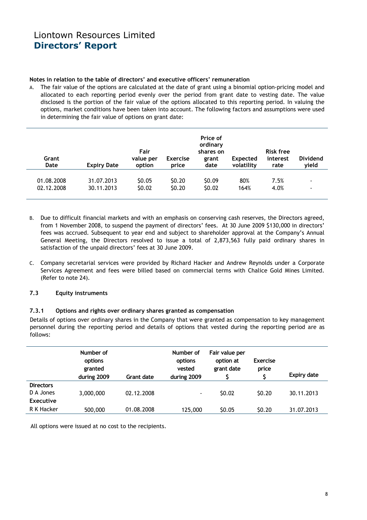#### Notes in relation to the table of directors' and executive officers' remuneration

A. The fair value of the options are calculated at the date of grant using a binomial option-pricing model and allocated to each reporting period evenly over the period from grant date to vesting date. The value disclosed is the portion of the fair value of the options allocated to this reporting period. In valuing the options, market conditions have been taken into account. The following factors and assumptions were used in determining the fair value of options on grant date:

| Grant<br>Date | <b>Expiry Date</b> | Fair<br>value per<br>option | <b>Exercise</b><br>price | Price of<br>ordinary<br>shares on<br>grant<br>date | Expected<br>volatility | <b>Risk free</b><br>interest<br>rate | <b>Dividend</b><br>yield |
|---------------|--------------------|-----------------------------|--------------------------|----------------------------------------------------|------------------------|--------------------------------------|--------------------------|
| 01.08.2008    | 31.07.2013         | SO.05                       | \$0.20                   | S <sub>0.09</sub>                                  | 80%                    | 7.5%                                 | $\overline{\phantom{a}}$ |
| 02.12.2008    | 30.11.2013         | \$0.02                      | \$0.20                   | \$0.02                                             | 164%                   | 4.0%                                 | $\blacksquare$           |

- B. Due to difficult financial markets and with an emphasis on conserving cash reserves, the Directors agreed, from 1 November 2008, to suspend the payment of directors' fees. At 30 June 2009 \$130,000 in directors' fees was accrued. Subsequent to year end and subject to shareholder approval at the Company's Annual General Meeting, the Directors resolved to issue a total of 2,873,563 fully paid ordinary shares in satisfaction of the unpaid directors' fees at 30 June 2009.
- C. Company secretarial services were provided by Richard Hacker and Andrew Reynolds under a Corporate Services Agreement and fees were billed based on commercial terms with Chalice Gold Mines Limited. (Refer to note 24).

#### 7.3 Equity instruments

#### 7.3.1 Options and rights over ordinary shares granted as compensation

Details of options over ordinary shares in the Company that were granted as compensation to key management personnel during the reporting period and details of options that vested during the reporting period are as follows:

|                                                   | Number of<br>options<br>granted<br>during 2009 | <b>Grant date</b> | Number of<br>options<br>vested<br>during 2009 | Fair value per<br>option at<br>grant date | Exercise<br>price | <b>Expiry date</b> |
|---------------------------------------------------|------------------------------------------------|-------------------|-----------------------------------------------|-------------------------------------------|-------------------|--------------------|
| <b>Directors</b><br>D A Jones<br><b>Executive</b> | 3,000,000                                      | 02.12.2008        | $\blacksquare$                                | <b>SO.02</b>                              | 50.20             | 30.11.2013         |
| R K Hacker                                        | 500,000                                        | 01.08.2008        | 125,000                                       | <b>SO.05</b>                              | 50.20             | 31.07.2013         |

All options were issued at no cost to the recipients.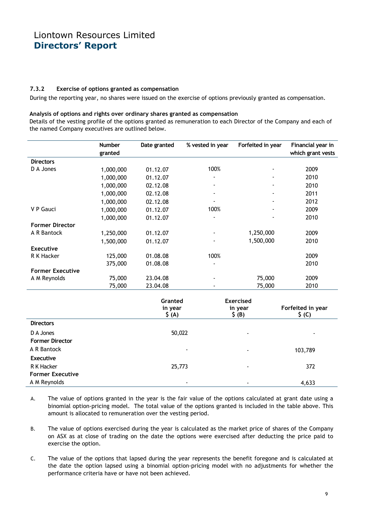#### 7.3.2 Exercise of options granted as compensation

During the reporting year, no shares were issued on the exercise of options previously granted as compensation.

#### Analysis of options and rights over ordinary shares granted as compensation

Details of the vesting profile of the options granted as remuneration to each Director of the Company and each of the named Company executives are outlined below.

|                         | <b>Number</b> | Date granted | % vested in year         | Forfeited in year | Financial year in |
|-------------------------|---------------|--------------|--------------------------|-------------------|-------------------|
|                         | granted       |              |                          |                   | which grant vests |
| <b>Directors</b>        |               |              |                          |                   |                   |
| D A Jones               | 1,000,000     | 01.12.07     | 100%                     |                   | 2009              |
|                         | 1,000,000     | 01.12.07     |                          |                   | 2010              |
|                         | 1,000,000     | 02.12.08     |                          |                   | 2010              |
|                         | 1,000,000     | 02.12.08     | $\blacksquare$           |                   | 2011              |
|                         | 1,000,000     | 02.12.08     | $\overline{\phantom{a}}$ | $\blacksquare$    | 2012              |
| V P Gauci               | 1,000,000     | 01.12.07     | 100%                     | $\blacksquare$    | 2009              |
|                         | 1,000,000     | 01.12.07     |                          |                   | 2010              |
| <b>Former Director</b>  |               |              |                          |                   |                   |
| A R Bantock             | 1,250,000     | 01.12.07     |                          | 1,250,000         | 2009              |
|                         | 1,500,000     | 01.12.07     |                          | 1,500,000         | 2010              |
| <b>Executive</b>        |               |              |                          |                   |                   |
| R K Hacker              | 125,000       | 01.08.08     | 100%                     |                   | 2009              |
|                         | 375,000       | 01.08.08     |                          |                   | 2010              |
| <b>Former Executive</b> |               |              |                          |                   |                   |
| A M Reynolds            | 75,000        | 23.04.08     |                          | 75,000            | 2009              |
|                         | 75,000        | 23.04.08     |                          | 75,000            | 2010              |

|                                       | Granted<br>in year<br>$\zeta(A)$ | <b>Exercised</b><br>in year<br>$\zeta$ (B) | Forfeited in year<br>$\zeta$ (C) |
|---------------------------------------|----------------------------------|--------------------------------------------|----------------------------------|
| <b>Directors</b>                      |                                  |                                            |                                  |
| D A Jones<br><b>Former Director</b>   | 50,022                           | $\overline{\phantom{0}}$                   | $\blacksquare$                   |
| A R Bantock<br><b>Executive</b>       | ۰                                | $\blacksquare$                             | 103,789                          |
| R K Hacker<br><b>Former Executive</b> | 25,773                           | $\blacksquare$                             | 372                              |
| A M Reynolds                          | $\overline{\phantom{0}}$         |                                            | 4,633                            |

- A. The value of options granted in the year is the fair value of the options calculated at grant date using a binomial option-pricing model. The total value of the options granted is included in the table above. This amount is allocated to remuneration over the vesting period.
- B. The value of options exercised during the year is calculated as the market price of shares of the Company on ASX as at close of trading on the date the options were exercised after deducting the price paid to exercise the option.
- C. The value of the options that lapsed during the year represents the benefit foregone and is calculated at the date the option lapsed using a binomial option-pricing model with no adjustments for whether the performance criteria have or have not been achieved.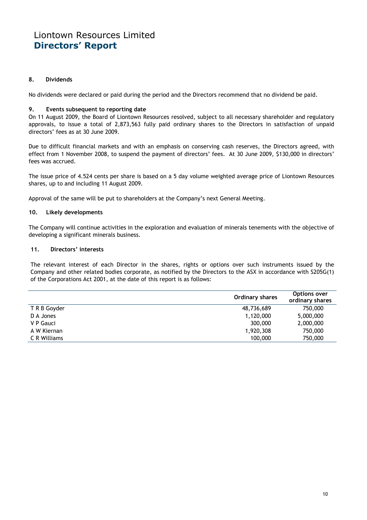#### 8. Dividends

No dividends were declared or paid during the period and the Directors recommend that no dividend be paid.

#### 9. Events subsequent to reporting date

On 11 August 2009, the Board of Liontown Resources resolved, subject to all necessary shareholder and regulatory approvals, to issue a total of 2,873,563 fully paid ordinary shares to the Directors in satisfaction of unpaid directors' fees as at 30 June 2009.

Due to difficult financial markets and with an emphasis on conserving cash reserves, the Directors agreed, with effect from 1 November 2008, to suspend the payment of directors' fees. At 30 June 2009, \$130,000 in directors' fees was accrued.

The issue price of 4.524 cents per share is based on a 5 day volume weighted average price of Liontown Resources shares, up to and including 11 August 2009.

Approval of the same will be put to shareholders at the Company's next General Meeting.

#### 10. Likely developments

The Company will continue activities in the exploration and evaluation of minerals tenements with the objective of developing a significant minerals business.

#### 11. Directors' interests

The relevant interest of each Director in the shares, rights or options over such instruments issued by the Company and other related bodies corporate, as notified by the Directors to the ASX in accordance with S205G(1) of the Corporations Act 2001, at the date of this report is as follows:

|              | <b>Ordinary shares</b> | Options over<br>ordinary shares |
|--------------|------------------------|---------------------------------|
| T R B Goyder | 48,736,689             | 750,000                         |
| D A Jones    | 1,120,000              | 5,000,000                       |
| V P Gauci    | 300,000                | 2,000,000                       |
| A W Kiernan  | 1,920,308              | 750,000                         |
| C R Williams | 100,000                | 750,000                         |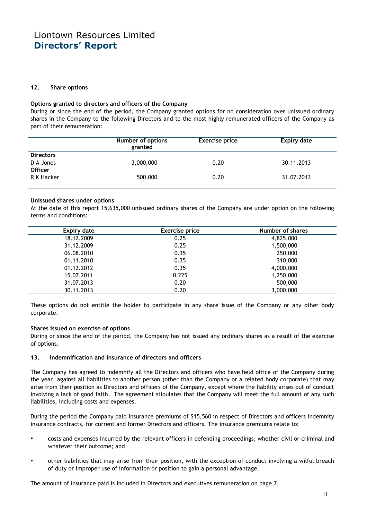#### 12. Share options

#### Options granted to directors and officers of the Company

During or since the end of the period, the Company granted options for no consideration over unissued ordinary shares in the Company to the following Directors and to the most highly remunerated officers of the Company as part of their remuneration:

|                                                 | Number of options<br>granted | <b>Exercise price</b> | <b>Expiry date</b> |
|-------------------------------------------------|------------------------------|-----------------------|--------------------|
| <b>Directors</b><br>D A Jones<br><b>Officer</b> | 3,000,000                    | 0.20                  | 30.11.2013         |
| R K Hacker                                      | 500,000                      | 0.20                  | 31.07.2013         |

#### Unissued shares under options

At the date of this report 15,635,000 unissued ordinary shares of the Company are under option on the following terms and conditions:

| <b>Expiry date</b> | <b>Exercise price</b> | Number of shares |
|--------------------|-----------------------|------------------|
| 18.12.2009         | 0.25                  | 4,825,000        |
| 31.12.2009         | 0.25                  | 1,500,000        |
| 06.08.2010         | 0.35                  | 250,000          |
| 01.11.2010         | 0.35                  | 310,000          |
| 01.12.2012         | 0.35                  | 4,000,000        |
| 15.07.2011         | 0.225                 | 1,250,000        |
| 31.07.2013         | 0.20                  | 500,000          |
| 30.11.2013         | 0.20                  | 3,000,000        |

These options do not entitle the holder to participate in any share issue of the Company or any other body corporate.

#### Shares issued on exercise of options

During or since the end of the period, the Company has not issued any ordinary shares as a result of the exercise of options.

#### 13. Indemnification and insurance of directors and officers

The Company has agreed to indemnify all the Directors and officers who have held office of the Company during the year, against all liabilities to another person (other than the Company or a related body corporate) that may arise from their position as Directors and officers of the Company, except where the liability arises out of conduct involving a lack of good faith. The agreement stipulates that the Company will meet the full amount of any such liabilities, including costs and expenses.

During the period the Company paid insurance premiums of \$15,560 in respect of Directors and officers indemnity insurance contracts, for current and former Directors and officers. The insurance premiums relate to:

- costs and expenses incurred by the relevant officers in defending proceedings, whether civil or criminal and whatever their outcome; and
- other liabilities that may arise from their position, with the exception of conduct involving a wilful breach of duty or improper use of information or position to gain a personal advantage.

The amount of insurance paid is included in Directors and executives remuneration on page 7.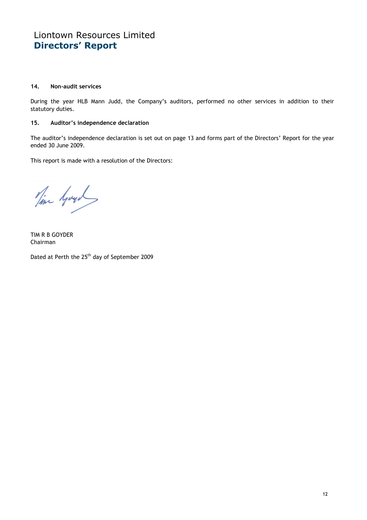#### 14. Non-audit services

During the year HLB Mann Judd, the Company's auditors, performed no other services in addition to their statutory duties.

#### 15. Auditor's independence declaration

The auditor's independence declaration is set out on page 13 and forms part of the Directors' Report for the year ended 30 June 2009.

This report is made with a resolution of the Directors:

Time Gogs

TIM R B GOYDER Chairman

Dated at Perth the 25<sup>th</sup> day of September 2009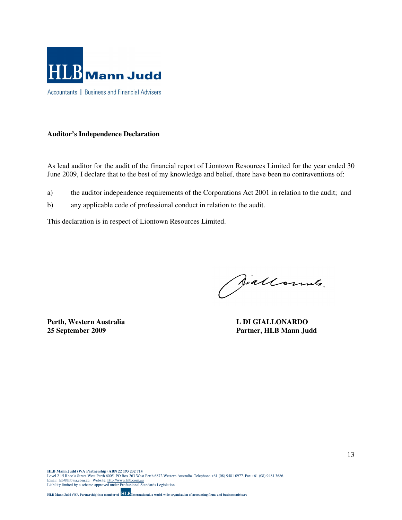

#### **Auditor's Independence Declaration**

As lead auditor for the audit of the financial report of Liontown Resources Limited for the year ended 30 June 2009, I declare that to the best of my knowledge and belief, there have been no contraventions of:

- a) the auditor independence requirements of the Corporations Act 2001 in relation to the audit; and
- b) any applicable code of professional conduct in relation to the audit.

This declaration is in respect of Liontown Resources Limited.

Siallonnes.

**Perth, Western Australia L DI GIALLONARDO** 

**25 September 2009 Partner, HLB Mann Judd**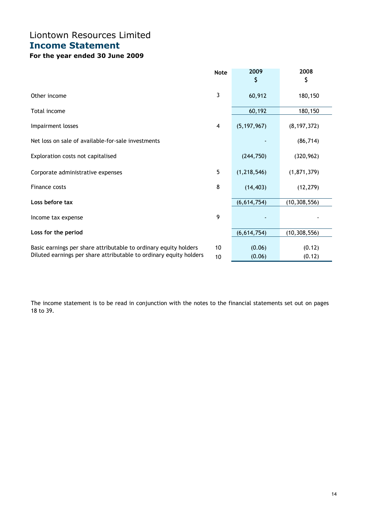# Liontown Resources Limited Income Statement

## For the year ended 30 June 2009

|                                                                                                                                        | <b>Note</b>              | 2009             | 2008             |
|----------------------------------------------------------------------------------------------------------------------------------------|--------------------------|------------------|------------------|
|                                                                                                                                        |                          | \$               | \$               |
| Other income                                                                                                                           | 3                        | 60,912           | 180,150          |
| Total income                                                                                                                           |                          | 60,192           | 180,150          |
| Impairment losses                                                                                                                      | $\overline{\mathcal{A}}$ | (5, 197, 967)    | (8, 197, 372)    |
| Net loss on sale of available-for-sale investments                                                                                     |                          |                  | (86, 714)        |
| Exploration costs not capitalised                                                                                                      |                          | (244, 750)       | (320, 962)       |
| Corporate administrative expenses                                                                                                      | 5                        | (1, 218, 546)    | (1, 871, 379)    |
| Finance costs                                                                                                                          | 8                        | (14, 403)        | (12, 279)        |
| Loss before tax                                                                                                                        |                          | (6,614,754)      | (10, 308, 556)   |
| Income tax expense                                                                                                                     | 9                        |                  |                  |
| Loss for the period                                                                                                                    |                          | (6,614,754)      | (10, 308, 556)   |
| Basic earnings per share attributable to ordinary equity holders<br>Diluted earnings per share attributable to ordinary equity holders | 10<br>10                 | (0.06)<br>(0.06) | (0.12)<br>(0.12) |

The income statement is to be read in conjunction with the notes to the financial statements set out on pages 18 to 39.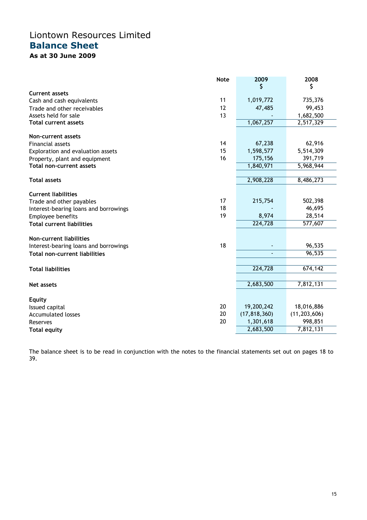## Liontown Resources Limited Balance Sheet As at 30 June 2009

|                                       | <b>Note</b> | 2009           | 2008           |
|---------------------------------------|-------------|----------------|----------------|
|                                       |             | Ş              | \$             |
| <b>Current assets</b>                 |             |                |                |
| Cash and cash equivalents             | 11          | 1,019,772      | 735,376        |
| Trade and other receivables           | 12          | 47,485         | 99,453         |
| Assets held for sale                  | 13          |                | 1,682,500      |
| <b>Total current assets</b>           |             | 1,067,257      | 2,517,329      |
| Non-current assets                    |             |                |                |
| <b>Financial assets</b>               | 14          | 67,238         | 62,916         |
| Exploration and evaluation assets     | 15          | 1,598,577      | 5,514,309      |
| Property, plant and equipment         | 16          | 175,156        | 391,719        |
| <b>Total non-current assets</b>       |             | 1,840,971      | 5,968,944      |
|                                       |             |                |                |
| <b>Total assets</b>                   |             | 2,908,228      | 8,486,273      |
| <b>Current liabilities</b>            |             |                |                |
| Trade and other payables              | 17          | 215,754        | 502,398        |
| Interest-bearing loans and borrowings | 18          |                | 46,695         |
| Employee benefits                     | 19          | 8,974          | 28,514         |
| <b>Total current liabilities</b>      |             | 224,728        | 577,607        |
|                                       |             |                |                |
| Non-current liabilities               |             |                |                |
| Interest-bearing loans and borrowings | 18          |                | 96,535         |
| <b>Total non-current liabilities</b>  |             |                | 96,535         |
|                                       |             |                |                |
| <b>Total liabilities</b>              |             | 224,728        | 674,142        |
|                                       |             | 2,683,500      | 7,812,131      |
| Net assets                            |             |                |                |
| <b>Equity</b>                         |             |                |                |
| Issued capital                        | 20          | 19,200,242     | 18,016,886     |
| <b>Accumulated losses</b>             | 20          | (17, 818, 360) | (11, 203, 606) |
| Reserves                              | 20          | 1,301,618      | 998,851        |
| <b>Total equity</b>                   |             | 2,683,500      | 7,812,131      |

The balance sheet is to be read in conjunction with the notes to the financial statements set out on pages 18 to 39.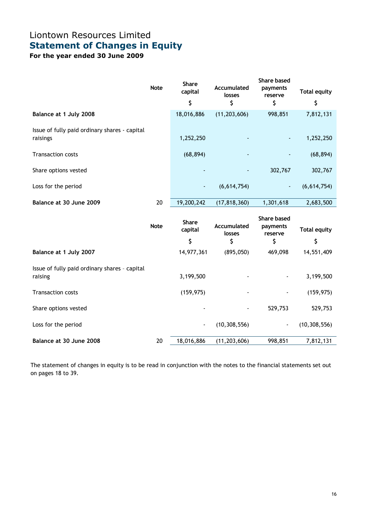# Liontown Resources Limited Statement of Changes in Equity

For the year ended 30 June 2009

|                                               | <b>Note</b> | <b>Share</b><br>capital  | Accumulated<br>losses    | Share based<br>payments<br>reserve | <b>Total equity</b> |
|-----------------------------------------------|-------------|--------------------------|--------------------------|------------------------------------|---------------------|
|                                               |             | \$                       | \$                       | \$                                 | \$                  |
| Balance at 1 July 2008                        |             | 18,016,886               | (11, 203, 606)           | 998,851                            | 7,812,131           |
| Issue of fully paid ordinary shares - capital |             |                          |                          |                                    |                     |
| raisings                                      |             | 1,252,250                | $\overline{\phantom{a}}$ | ٠                                  | 1,252,250           |
| <b>Transaction costs</b>                      |             | (68, 894)                |                          |                                    | (68, 894)           |
| Share options vested                          |             | $\overline{\phantom{a}}$ | $\overline{\phantom{0}}$ | 302,767                            | 302,767             |
| Loss for the period                           |             | ٠                        | (6,614,754)              | ٠                                  | (6,614,754)         |
| Balance at 30 June 2009                       | 20          | 19,200,242               | (17, 818, 360)           | 1,301,618                          | 2,683,500           |

|                                                          | <b>Note</b> | <b>Share</b><br>capital<br>\$ | Accumulated<br>losses<br>\$ | <b>Share based</b><br>payments<br>reserve<br>\$ | <b>Total equity</b><br>\$ |
|----------------------------------------------------------|-------------|-------------------------------|-----------------------------|-------------------------------------------------|---------------------------|
| Balance at 1 July 2007                                   |             | 14,977,361                    | (895, 050)                  | 469,098                                         | 14,551,409                |
| Issue of fully paid ordinary shares - capital<br>raising |             | 3,199,500                     |                             | $\overline{\phantom{a}}$                        | 3,199,500                 |
| <b>Transaction costs</b>                                 |             | (159, 975)                    |                             | ۰                                               | (159, 975)                |
| Share options vested                                     |             | $\overline{\phantom{a}}$      |                             | 529,753                                         | 529,753                   |
| Loss for the period                                      |             | $\overline{\phantom{a}}$      | (10, 308, 556)              | $\blacksquare$                                  | (10, 308, 556)            |
| Balance at 30 June 2008                                  | 20          | 18,016,886                    | (11, 203, 606)              | 998,851                                         | 7,812,131                 |

The statement of changes in equity is to be read in conjunction with the notes to the financial statements set out on pages 18 to 39.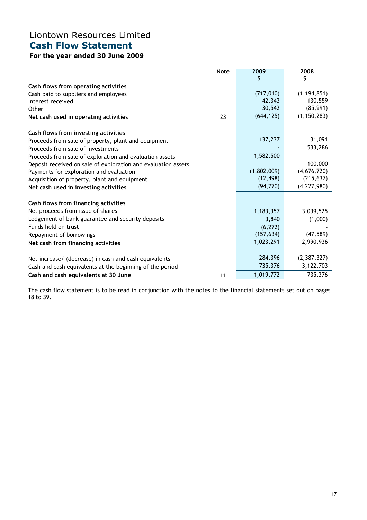## Liontown Resources Limited Cash Flow Statement

## For the year ended 30 June 2009

|                                                               | <b>Note</b> | 2009        | 2008          |
|---------------------------------------------------------------|-------------|-------------|---------------|
|                                                               |             | \$          | \$            |
| Cash flows from operating activities                          |             |             |               |
| Cash paid to suppliers and employees                          |             | (717, 010)  | (1, 194, 851) |
| Interest received                                             |             | 42,343      | 130,559       |
| Other                                                         |             | 30,542      | (85, 991)     |
| Net cash used in operating activities                         | 23          | (644, 125)  | (1, 150, 283) |
| Cash flows from investing activities                          |             |             |               |
| Proceeds from sale of property, plant and equipment           |             | 137,237     | 31,091        |
| Proceeds from sale of investments                             |             |             | 533,286       |
| Proceeds from sale of exploration and evaluation assets       |             | 1,582,500   |               |
| Deposit received on sale of exploration and evaluation assets |             |             | 100,000       |
| Payments for exploration and evaluation                       |             | (1,802,009) | (4,676,720)   |
| Acquisition of property, plant and equipment                  |             | (12, 498)   | (215, 637)    |
| Net cash used in investing activities                         |             | (94, 770)   | (4, 227, 980) |
| Cash flows from financing activities                          |             |             |               |
| Net proceeds from issue of shares                             |             | 1,183,357   | 3,039,525     |
| Lodgement of bank guarantee and security deposits             |             | 3,840       | (1,000)       |
| Funds held on trust                                           |             | (6, 272)    |               |
| Repayment of borrowings                                       |             | (157, 634)  | (47, 589)     |
| Net cash from financing activities                            |             | 1,023,291   | 2,990,936     |
| Net increase/ (decrease) in cash and cash equivalents         |             | 284,396     | (2,387,327)   |
|                                                               |             | 735,376     | 3,122,703     |
| Cash and cash equivalents at the beginning of the period      |             |             |               |
| Cash and cash equivalents at 30 June                          | 11          | 1,019,772   | 735,376       |

The cash flow statement is to be read in conjunction with the notes to the financial statements set out on pages 18 to 39.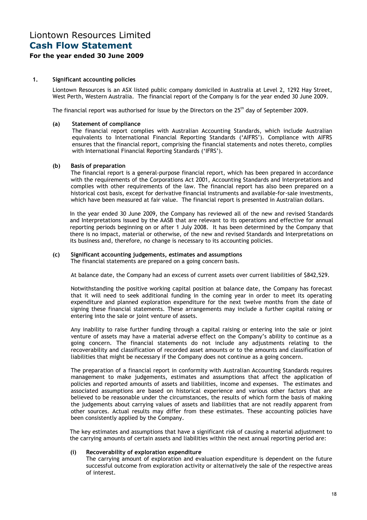# Liontown Resources Limited Cash Flow Statement

#### For the year ended 30 June 2009

#### 1. Significant accounting policies

Liontown Resources is an ASX listed public company domiciled in Australia at Level 2, 1292 Hay Street, West Perth, Western Australia. The financial report of the Company is for the year ended 30 June 2009.

The financial report was authorised for issue by the Directors on the 25<sup>th</sup> day of September 2009.

#### (a) Statement of compliance

The financial report complies with Australian Accounting Standards, which include Australian equivalents to International Financial Reporting Standards ('AIFRS'). Compliance with AIFRS ensures that the financial report, comprising the financial statements and notes thereto, complies with International Financial Reporting Standards ('IFRS').

#### (b) Basis of preparation

The financial report is a general-purpose financial report, which has been prepared in accordance with the requirements of the Corporations Act 2001, Accounting Standards and Interpretations and complies with other requirements of the law. The financial report has also been prepared on a historical cost basis, except for derivative financial instruments and available-for-sale investments, which have been measured at fair value. The financial report is presented in Australian dollars.

In the year ended 30 June 2009, the Company has reviewed all of the new and revised Standards and Interpretations issued by the AASB that are relevant to its operations and effective for annual reporting periods beginning on or after 1 July 2008. It has been determined by the Company that there is no impact, material or otherwise, of the new and revised Standards and Interpretations on its business and, therefore, no change is necessary to its accounting policies.

#### (c) Significant accounting judgements, estimates and assumptions

The financial statements are prepared on a going concern basis.

At balance date, the Company had an excess of current assets over current liabilities of \$842,529.

Notwithstanding the positive working capital position at balance date, the Company has forecast that it will need to seek additional funding in the coming year in order to meet its operating expenditure and planned exploration expenditure for the next twelve months from the date of signing these financial statements. These arrangements may include a further capital raising or entering into the sale or joint venture of assets.

Any inability to raise further funding through a capital raising or entering into the sale or joint venture of assets may have a material adverse effect on the Company's ability to continue as a going concern. The financial statements do not include any adjustments relating to the recoverability and classification of recorded asset amounts or to the amounts and classification of liabilities that might be necessary if the Company does not continue as a going concern.

The preparation of a financial report in conformity with Australian Accounting Standards requires management to make judgements, estimates and assumptions that affect the application of policies and reported amounts of assets and liabilities, income and expenses. The estimates and associated assumptions are based on historical experience and various other factors that are believed to be reasonable under the circumstances, the results of which form the basis of making the judgements about carrying values of assets and liabilities that are not readily apparent from other sources. Actual results may differ from these estimates. These accounting policies have been consistently applied by the Company.

The key estimates and assumptions that have a significant risk of causing a material adjustment to the carrying amounts of certain assets and liabilities within the next annual reporting period are:

#### (i) Recoverability of exploration expenditure

The carrying amount of exploration and evaluation expenditure is dependent on the future successful outcome from exploration activity or alternatively the sale of the respective areas of interest.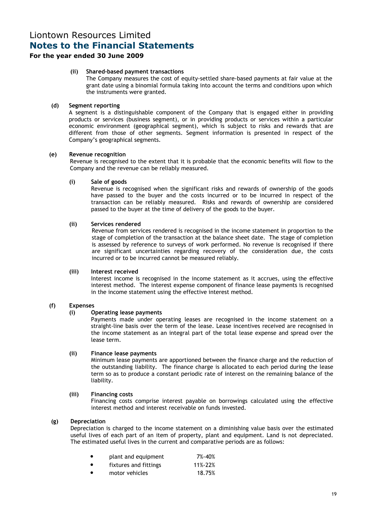### For the year ended 30 June 2009

#### (ii) Shared-based payment transactions

The Company measures the cost of equity-settled share-based payments at fair value at the grant date using a binomial formula taking into account the terms and conditions upon which the instruments were granted.

#### (d) Segment reporting

A segment is a distinguishable component of the Company that is engaged either in providing products or services (business segment), or in providing products or services within a particular economic environment (geographical segment), which is subject to risks and rewards that are different from those of other segments. Segment information is presented in respect of the Company's geographical segments.

#### (e) Revenue recognition

Revenue is recognised to the extent that it is probable that the economic benefits will flow to the Company and the revenue can be reliably measured.

#### (i) Sale of goods

Revenue is recognised when the significant risks and rewards of ownership of the goods have passed to the buyer and the costs incurred or to be incurred in respect of the transaction can be reliably measured. Risks and rewards of ownership are considered passed to the buyer at the time of delivery of the goods to the buyer.

#### (ii) Services rendered

Revenue from services rendered is recognised in the income statement in proportion to the stage of completion of the transaction at the balance sheet date. The stage of completion is assessed by reference to surveys of work performed. No revenue is recognised if there are significant uncertainties regarding recovery of the consideration due, the costs incurred or to be incurred cannot be measured reliably.

#### (iii) Interest received

Interest income is recognised in the income statement as it accrues, using the effective interest method. The interest expense component of finance lease payments is recognised in the income statement using the effective interest method.

#### (f) Expenses

#### (i) Operating lease payments

Payments made under operating leases are recognised in the income statement on a straight-line basis over the term of the lease. Lease incentives received are recognised in the income statement as an integral part of the total lease expense and spread over the lease term.

#### (ii) Finance lease payments

Minimum lease payments are apportioned between the finance charge and the reduction of the outstanding liability. The finance charge is allocated to each period during the lease term so as to produce a constant periodic rate of interest on the remaining balance of the liability.

#### (iii) Financing costs

Financing costs comprise interest payable on borrowings calculated using the effective interest method and interest receivable on funds invested.

#### (g) Depreciation

Depreciation is charged to the income statement on a diminishing value basis over the estimated useful lives of each part of an item of property, plant and equipment. Land is not depreciated. The estimated useful lives in the current and comparative periods are as follows:

|           | plant and equipment   | 7%-40%  |
|-----------|-----------------------|---------|
| $\bullet$ | fixtures and fittings | 11%-22% |

motor vehicles 18.75%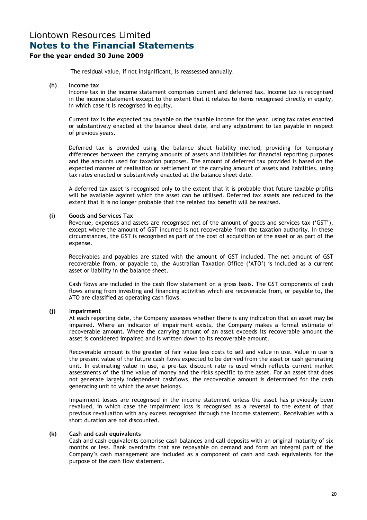### For the year ended 30 June 2009

The residual value, if not insignificant, is reassessed annually.

#### (h) Income tax

Income tax in the income statement comprises current and deferred tax. Income tax is recognised in the income statement except to the extent that it relates to items recognised directly in equity, in which case it is recognised in equity.

Current tax is the expected tax payable on the taxable income for the year, using tax rates enacted or substantively enacted at the balance sheet date, and any adjustment to tax payable in respect of previous years.

Deferred tax is provided using the balance sheet liability method, providing for temporary differences between the carrying amounts of assets and liabilities for financial reporting purposes and the amounts used for taxation purposes. The amount of deferred tax provided is based on the expected manner of realisation or settlement of the carrying amount of assets and liabilities, using tax rates enacted or substantively enacted at the balance sheet date.

A deferred tax asset is recognised only to the extent that it is probable that future taxable profits will be available against which the asset can be utilised. Deferred tax assets are reduced to the extent that it is no longer probable that the related tax benefit will be realised.

#### (i) Goods and Services Tax

Revenue, expenses and assets are recognised net of the amount of goods and services tax ('GST'), except where the amount of GST incurred is not recoverable from the taxation authority. In these circumstances, the GST is recognised as part of the cost of acquisition of the asset or as part of the expense.

Receivables and payables are stated with the amount of GST included. The net amount of GST recoverable from, or payable to, the Australian Taxation Office ('ATO') is included as a current asset or liability in the balance sheet.

Cash flows are included in the cash flow statement on a gross basis. The GST components of cash flows arising from investing and financing activities which are recoverable from, or payable to, the ATO are classified as operating cash flows.

#### (j) Impairment

At each reporting date, the Company assesses whether there is any indication that an asset may be impaired. Where an indicator of impairment exists, the Company makes a formal estimate of recoverable amount. Where the carrying amount of an asset exceeds its recoverable amount the asset is considered impaired and is written down to its recoverable amount.

Recoverable amount is the greater of fair value less costs to sell and value in use. Value in use is the present value of the future cash flows expected to be derived from the asset or cash generating unit. In estimating value in use, a pre-tax discount rate is used which reflects current market assessments of the time value of money and the risks specific to the asset. For an asset that does not generate largely independent cashflows, the recoverable amount is determined for the cash generating unit to which the asset belongs.

Impairment losses are recognised in the income statement unless the asset has previously been revalued, in which case the impairment loss is recognised as a reversal to the extent of that previous revaluation with any excess recognised through the income statement. Receivables with a short duration are not discounted.

#### (k) Cash and cash equivalents

Cash and cash equivalents comprise cash balances and call deposits with an original maturity of six months or less. Bank overdrafts that are repayable on demand and form an integral part of the Company's cash management are included as a component of cash and cash equivalents for the purpose of the cash flow statement.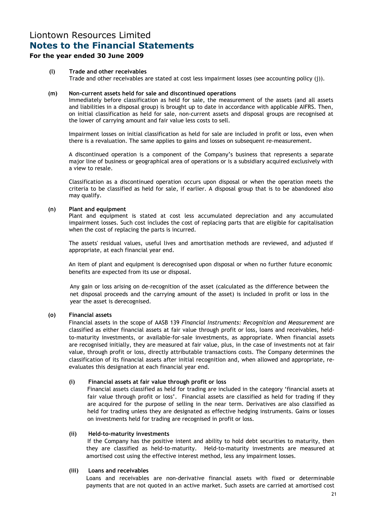### For the year ended 30 June 2009

(l) Trade and other receivables Trade and other receivables are stated at cost less impairment losses (see accounting policy (j)).

#### (m) Non-current assets held for sale and discontinued operations

Immediately before classification as held for sale, the measurement of the assets (and all assets and liabilities in a disposal group) is brought up to date in accordance with applicable AIFRS. Then, on initial classification as held for sale, non-current assets and disposal groups are recognised at the lower of carrying amount and fair value less costs to sell.

Impairment losses on initial classification as held for sale are included in profit or loss, even when there is a revaluation. The same applies to gains and losses on subsequent re-measurement.

A discontinued operation is a component of the Company's business that represents a separate major line of business or geographical area of operations or is a subsidiary acquired exclusively with a view to resale.

Classification as a discontinued operation occurs upon disposal or when the operation meets the criteria to be classified as held for sale, if earlier. A disposal group that is to be abandoned also may qualify.

#### (n) Plant and equipment

Plant and equipment is stated at cost less accumulated depreciation and any accumulated impairment losses. Such cost includes the cost of replacing parts that are eligible for capitalisation when the cost of replacing the parts is incurred.

The assets' residual values, useful lives and amortisation methods are reviewed, and adjusted if appropriate, at each financial year end.

An item of plant and equipment is derecognised upon disposal or when no further future economic benefits are expected from its use or disposal.

Any gain or loss arising on de-recognition of the asset (calculated as the difference between the net disposal proceeds and the carrying amount of the asset) is included in profit or loss in the year the asset is derecognised.

#### (o) Financial assets

Financial assets in the scope of AASB 139 Financial Instruments: Recognition and Measurement are classified as either financial assets at fair value through profit or loss, loans and receivables, heldto-maturity investments, or available-for-sale investments, as appropriate. When financial assets are recognised initially, they are measured at fair value, plus, in the case of investments not at fair value, through profit or loss, directly attributable transactions costs. The Company determines the classification of its financial assets after initial recognition and, when allowed and appropriate, reevaluates this designation at each financial year end.

#### (i) Financial assets at fair value through profit or loss

 Financial assets classified as held for trading are included in the category 'financial assets at fair value through profit or loss'. Financial assets are classified as held for trading if they are acquired for the purpose of selling in the near term. Derivatives are also classified as held for trading unless they are designated as effective hedging instruments. Gains or losses on investments held for trading are recognised in profit or loss.

#### (ii) Held-to-maturity investments

If the Company has the positive intent and ability to hold debt securities to maturity, then they are classified as held-to-maturity. Held-to-maturity investments are measured at amortised cost using the effective interest method, less any impairment losses.

#### (iii) Loans and receivables

 Loans and receivables are non-derivative financial assets with fixed or determinable payments that are not quoted in an active market. Such assets are carried at amortised cost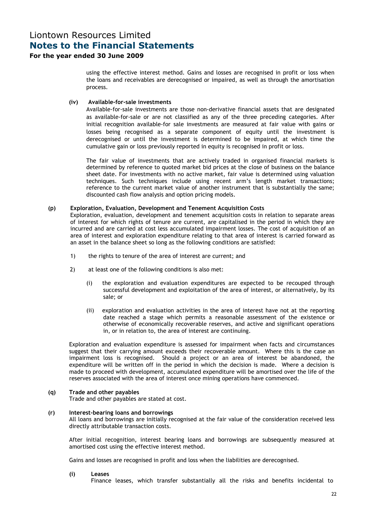#### For the year ended 30 June 2009

using the effective interest method. Gains and losses are recognised in profit or loss when the loans and receivables are derecognised or impaired, as well as through the amortisation process.

#### (iv) Available-for-sale investments

 Available-for-sale investments are those non-derivative financial assets that are designated as available-for-sale or are not classified as any of the three preceding categories. After initial recognition available-for sale investments are measured at fair value with gains or losses being recognised as a separate component of equity until the investment is derecognised or until the investment is determined to be impaired, at which time the cumulative gain or loss previously reported in equity is recognised in profit or loss.

The fair value of investments that are actively traded in organised financial markets is determined by reference to quoted market bid prices at the close of business on the balance sheet date. For investments with no active market, fair value is determined using valuation techniques. Such techniques include using recent arm's length market transactions; reference to the current market value of another instrument that is substantially the same; discounted cash flow analysis and option pricing models.

#### (p) Exploration, Evaluation, Development and Tenement Acquisition Costs

Exploration, evaluation, development and tenement acquisition costs in relation to separate areas of interest for which rights of tenure are current, are capitalised in the period in which they are incurred and are carried at cost less accumulated impairment losses. The cost of acquisition of an area of interest and exploration expenditure relating to that area of interest is carried forward as an asset in the balance sheet so long as the following conditions are satisfied:

- 1) the rights to tenure of the area of interest are current; and
- 2) at least one of the following conditions is also met:
	- (i) the exploration and evaluation expenditures are expected to be recouped through successful development and exploitation of the area of interest, or alternatively, by its sale; or
	- (ii) exploration and evaluation activities in the area of interest have not at the reporting date reached a stage which permits a reasonable assessment of the existence or otherwise of economically recoverable reserves, and active and significant operations in, or in relation to, the area of interest are continuing.

Exploration and evaluation expenditure is assessed for impairment when facts and circumstances suggest that their carrying amount exceeds their recoverable amount. Where this is the case an impairment loss is recognised. Should a project or an area of interest be abandoned, the expenditure will be written off in the period in which the decision is made. Where a decision is made to proceed with development, accumulated expenditure will be amortised over the life of the reserves associated with the area of interest once mining operations have commenced.

#### (q) Trade and other payables

Trade and other payables are stated at cost.

#### (r) Interest-bearing loans and borrowings

All loans and borrowings are initially recognised at the fair value of the consideration received less directly attributable transaction costs.

After initial recognition, interest bearing loans and borrowings are subsequently measured at amortised cost using the effective interest method.

Gains and losses are recognised in profit and loss when the liabilities are derecognised.

(i) Leases

Finance leases, which transfer substantially all the risks and benefits incidental to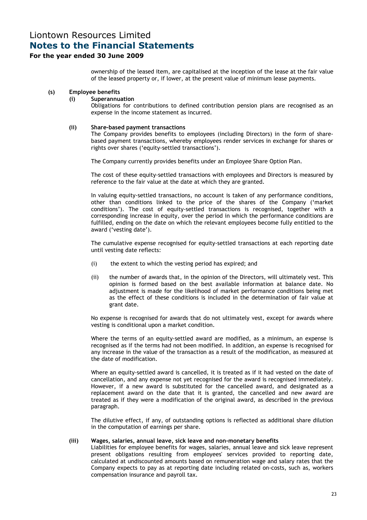### For the year ended 30 June 2009

ownership of the leased item, are capitalised at the inception of the lease at the fair value of the leased property or, if lower, at the present value of minimum lease payments.

### (s) Employee benefits

### (i) Superannuation

Obligations for contributions to defined contribution pension plans are recognised as an expense in the income statement as incurred.

### (ii) Share-based payment transactions

The Company provides benefits to employees (including Directors) in the form of sharebased payment transactions, whereby employees render services in exchange for shares or rights over shares ('equity-settled transactions').

The Company currently provides benefits under an Employee Share Option Plan.

The cost of these equity-settled transactions with employees and Directors is measured by reference to the fair value at the date at which they are granted.

In valuing equity-settled transactions, no account is taken of any performance conditions, other than conditions linked to the price of the shares of the Company ('market conditions'). The cost of equity-settled transactions is recognised, together with a corresponding increase in equity, over the period in which the performance conditions are fulfilled, ending on the date on which the relevant employees become fully entitled to the award ('vesting date').

The cumulative expense recognised for equity-settled transactions at each reporting date until vesting date reflects:

- (i) the extent to which the vesting period has expired; and
- (ii) the number of awards that, in the opinion of the Directors, will ultimately vest. This opinion is formed based on the best available information at balance date. No adjustment is made for the likelihood of market performance conditions being met as the effect of these conditions is included in the determination of fair value at grant date.

No expense is recognised for awards that do not ultimately vest, except for awards where vesting is conditional upon a market condition.

Where the terms of an equity-settled award are modified, as a minimum, an expense is recognised as if the terms had not been modified. In addition, an expense is recognised for any increase in the value of the transaction as a result of the modification, as measured at the date of modification.

Where an equity-settled award is cancelled, it is treated as if it had vested on the date of cancellation, and any expense not yet recognised for the award is recognised immediately. However, if a new award is substituted for the cancelled award, and designated as a replacement award on the date that it is granted, the cancelled and new award are treated as if they were a modification of the original award, as described in the previous paragraph.

The dilutive effect, if any, of outstanding options is reflected as additional share dilution in the computation of earnings per share.

### (iii) Wages, salaries, annual leave, sick leave and non-monetary benefits

Liabilities for employee benefits for wages, salaries, annual leave and sick leave represent present obligations resulting from employees' services provided to reporting date, calculated at undiscounted amounts based on remuneration wage and salary rates that the Company expects to pay as at reporting date including related on-costs, such as, workers compensation insurance and payroll tax.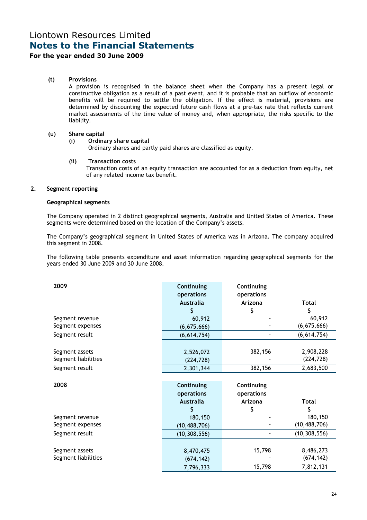### For the year ended 30 June 2009

#### (t) Provisions

A provision is recognised in the balance sheet when the Company has a present legal or constructive obligation as a result of a past event, and it is probable that an outflow of economic benefits will be required to settle the obligation. If the effect is material, provisions are determined by discounting the expected future cash flows at a pre-tax rate that reflects current market assessments of the time value of money and, when appropriate, the risks specific to the liability.

#### (u) Share capital

#### (i) Ordinary share capital

Ordinary shares and partly paid shares are classified as equity.

#### (ii) Transaction costs

 Transaction costs of an equity transaction are accounted for as a deduction from equity, net of any related income tax benefit.

#### 2. Segment reporting

#### Geographical segments

The Company operated in 2 distinct geographical segments, Australia and United States of America. These segments were determined based on the location of the Company's assets.

The Company's geographical segment in United States of America was in Arizona. The company acquired this segment in 2008.

The following table presents expenditure and asset information regarding geographical segments for the years ended 30 June 2009 and 30 June 2008.

| 2009                | Continuing<br>operations<br><b>Australia</b> | Continuing<br>operations<br>Arizona | <b>Total</b>   |
|---------------------|----------------------------------------------|-------------------------------------|----------------|
|                     | \$                                           | \$                                  | \$             |
| Segment revenue     | 60,912                                       |                                     | 60,912         |
| Segment expenses    | (6,675,666)                                  |                                     | (6,675,666)    |
| Segment result      | (6,614,754)                                  |                                     | (6, 614, 754)  |
|                     |                                              |                                     |                |
| Segment assets      | 2,526,072                                    | 382,156                             | 2,908,228      |
| Segment liabilities | (224, 728)                                   |                                     | (224, 728)     |
| Segment result      | 2,301,344                                    | 382,156                             | 2,683,500      |
|                     |                                              |                                     |                |
| 2008                | Continuing                                   | Continuing                          |                |
|                     | operations                                   | operations                          |                |
|                     | <b>Australia</b>                             | Arizona                             | <b>Total</b>   |
|                     | \$                                           | \$                                  | \$             |
| Segment revenue     | 180,150                                      |                                     | 180,150        |
| Segment expenses    | (10, 488, 706)                               |                                     | (10, 488, 706) |
| Segment result      | (10, 308, 556)                               |                                     | (10, 308, 556) |
|                     |                                              |                                     |                |
| Segment assets      | 8,470,475                                    | 15,798                              | 8,486,273      |
| Segment liabilities | (674, 142)                                   |                                     | (674, 142)     |
|                     | 7,796,333                                    | 15,798                              | 7,812,131      |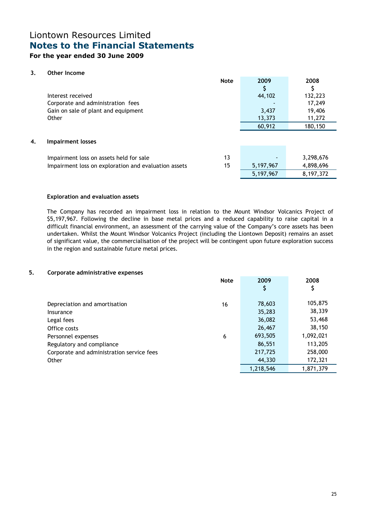### For the year ended 30 June 2009

#### 3. Other Income

|    |                                                      | <b>Note</b> | 2009      | 2008      |
|----|------------------------------------------------------|-------------|-----------|-----------|
|    |                                                      |             |           |           |
|    | Interest received                                    |             | 44,102    | 132,223   |
|    | Corporate and administration fees                    |             |           | 17,249    |
|    | Gain on sale of plant and equipment                  |             | 3,437     | 19,406    |
|    | Other                                                |             | 13,373    | 11,272    |
|    |                                                      |             | 60,912    | 180,150   |
|    |                                                      |             |           |           |
| 4. | <b>Impairment losses</b>                             |             |           |           |
|    |                                                      |             |           |           |
|    | Impairment loss on assets held for sale              | 13          |           | 3,298,676 |
|    | Impairment loss on exploration and evaluation assets | 15          | 5,197,967 | 4,898,696 |
|    |                                                      |             | 5,197,967 | 8,197,372 |

#### Exploration and evaluation assets

The Company has recorded an impairment loss in relation to the Mount Windsor Volcanics Project of \$5,197,967. Following the decline in base metal prices and a reduced capability to raise capital in a difficult financial environment, an assessment of the carrying value of the Company's core assets has been undertaken. Whilst the Mount Windsor Volcanics Project (including the Liontown Deposit) remains an asset of significant value, the commercialisation of the project will be contingent upon future exploration success in the region and sustainable future metal prices.

#### 5. Corporate administrative expenses

|                                           | <b>Note</b> | 2009      | 2008      |
|-------------------------------------------|-------------|-----------|-----------|
|                                           |             | \$        | Ş         |
|                                           |             |           |           |
| Depreciation and amortisation             | 16          | 78,603    | 105,875   |
| Insurance                                 |             | 35,283    | 38,339    |
| Legal fees                                |             | 36,082    | 53,468    |
| Office costs                              |             | 26,467    | 38,150    |
| Personnel expenses                        | 6           | 693,505   | 1,092,021 |
| Regulatory and compliance                 |             | 86,551    | 113,205   |
| Corporate and administration service fees |             | 217,725   | 258,000   |
| Other                                     |             | 44,330    | 172,321   |
|                                           |             | 1,218,546 | 1,871,379 |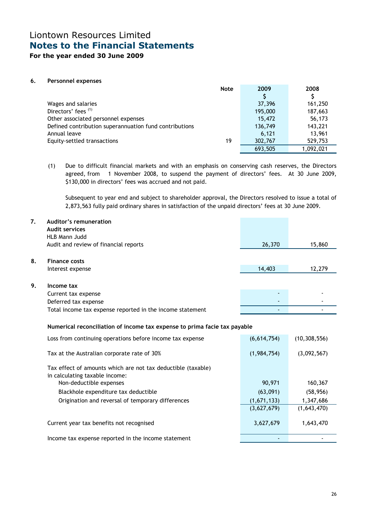For the year ended 30 June 2009

#### 6. Personnel expenses

|                                                        | <b>Note</b> | 2009    | 2008      |
|--------------------------------------------------------|-------------|---------|-----------|
|                                                        |             | S       |           |
| Wages and salaries                                     |             | 37,396  | 161,250   |
| Directors' fees (1)                                    |             | 195,000 | 187,663   |
| Other associated personnel expenses                    |             | 15,472  | 56,173    |
| Defined contribution superannuation fund contributions |             | 136,749 | 143,221   |
| Annual leave                                           |             | 6.121   | 13,961    |
| Equity-settled transactions                            | 19          | 302,767 | 529,753   |
|                                                        |             | 693.505 | 1,092,021 |

(1) Due to difficult financial markets and with an emphasis on conserving cash reserves, the Directors agreed, from 1 November 2008, to suspend the payment of directors' fees. At 30 June 2009, \$130,000 in directors' fees was accrued and not paid.

 Subsequent to year end and subject to shareholder approval, the Directors resolved to issue a total of 2,873,563 fully paid ordinary shares in satisfaction of the unpaid directors' fees at 30 June 2009.

| 7. | Auditor's remuneration<br><b>Audit services</b>           |                          |        |
|----|-----------------------------------------------------------|--------------------------|--------|
|    | HLB Mann Judd                                             |                          |        |
|    | Audit and review of financial reports                     | 26,370                   | 15,860 |
|    |                                                           |                          |        |
| 8. | <b>Finance costs</b>                                      |                          |        |
|    | Interest expense                                          | 14,403                   | 12,279 |
|    |                                                           |                          |        |
| 9. | Income tax                                                |                          |        |
|    | Current tax expense                                       | $\overline{\phantom{0}}$ |        |
|    | Deferred tax expense                                      |                          |        |
|    | Total income tax expense reported in the income statement |                          |        |

#### Numerical reconciliation of income tax expense to prima facie tax payable

| Loss from continuing operations before income tax expense                                      | (6,614,754) | (10, 308, 556) |
|------------------------------------------------------------------------------------------------|-------------|----------------|
| Tax at the Australian corporate rate of 30%                                                    | (1,984,754) | (3,092,567)    |
| Tax effect of amounts which are not tax deductible (taxable)<br>in calculating taxable income: |             |                |
| Non-deductible expenses                                                                        | 90,971      | 160,367        |
| Blackhole expenditure tax deductible                                                           | (63,091)    | (58, 956)      |
| Origination and reversal of temporary differences                                              | (1,671,133) | 1,347,686      |
|                                                                                                | (3,627,679) | (1,643,470)    |
| Current year tax benefits not recognised                                                       | 3,627,679   | 1,643,470      |
| Income tax expense reported in the income statement                                            |             |                |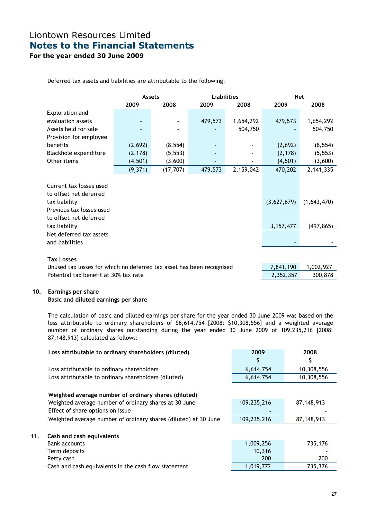For the year ended 30 June 2009

Deferred tax assets and liabilities are attributable to the following:

|                                                                                                                          | <b>Assets</b> |           | <b>Liabilities</b> |           |             | <b>Net</b>  |
|--------------------------------------------------------------------------------------------------------------------------|---------------|-----------|--------------------|-----------|-------------|-------------|
|                                                                                                                          | 2009          | 2008      | 2009               | 2008      | 2009        | 2008        |
| Exploration and                                                                                                          |               |           |                    |           |             |             |
| evaluation assets                                                                                                        |               |           | 479,573            | 1,654,292 | 479,573     | 1,654,292   |
| Assets held for sale                                                                                                     |               |           |                    | 504,750   |             | 504,750     |
| Provision for employee                                                                                                   |               |           |                    |           |             |             |
| benefits                                                                                                                 | (2,692)       | (8, 554)  |                    |           | (2,692)     | (8, 554)    |
| Blackhole expenditure                                                                                                    | (2, 178)      | (5, 553)  |                    |           | (2, 178)    | (5, 553)    |
| Other items                                                                                                              | (4, 501)      | (3,600)   |                    |           | (4,501)     | (3,600)     |
|                                                                                                                          | (9,371)       | (17, 707) | 479,573            | 2,159,042 | 470,202     | 2,141,335   |
| Current tax losses used<br>to offset net deferred<br>tax liability<br>Previous tax losses used<br>to offset net deferred |               |           |                    |           | (3,627,679) | (1,643,470) |
| tax liability                                                                                                            |               |           |                    |           | 3, 157, 477 | (497, 865)  |
| Net deferred tax assets<br>and liabilities                                                                               |               |           |                    |           |             |             |
| <b>Tax Losses</b>                                                                                                        |               |           |                    |           |             |             |
| Unused tax losses for which no deferred tax asset has been recognised                                                    |               |           |                    |           | 7,841,190   | 1,002,927   |
| Potential tax benefit at 30% tax rate                                                                                    |               |           |                    |           | 2,352,357   | 300,878     |

#### 10. Earnings per share

#### Basic and diluted earnings per share

The calculation of basic and diluted earnings per share for the year ended 30 June 2009 was based on the loss attributable to ordinary shareholders of \$6,614,754 [2008: \$10,308,556] and a weighted average number of ordinary shares outstanding during the year ended 30 June 2009 of 109,235,216 [2008: 87,148,913] calculated as follows:

|     | Loss attributable to ordinary shareholders (diluted)            | 2009        | 2008       |
|-----|-----------------------------------------------------------------|-------------|------------|
|     |                                                                 | Ş           | Ş          |
|     | Loss attributable to ordinary shareholders                      | 6,614,754   | 10,308,556 |
|     | Loss attributable to ordinary shareholders (diluted)            | 6,614,754   | 10,308,556 |
|     |                                                                 |             |            |
|     | Weighted average number of ordinary shares (diluted)            |             |            |
|     | Weighted average number of ordinary shares at 30 June           | 109,235,216 | 87,148,913 |
|     | Effect of share options on issue                                |             |            |
|     | Weighted average number of ordinary shares (diluted) at 30 June | 109,235,216 | 87,148,913 |
|     |                                                                 |             |            |
| 11. | Cash and cash equivalents                                       |             |            |
|     | Bank accounts                                                   | 1,009,256   | 735,176    |
|     | Term deposits                                                   | 10,316      |            |
|     | Petty cash                                                      | 200         | 200        |
|     | Cash and cash equivalents in the cash flow statement            | 1,019,772   | 735,376    |
|     |                                                                 |             |            |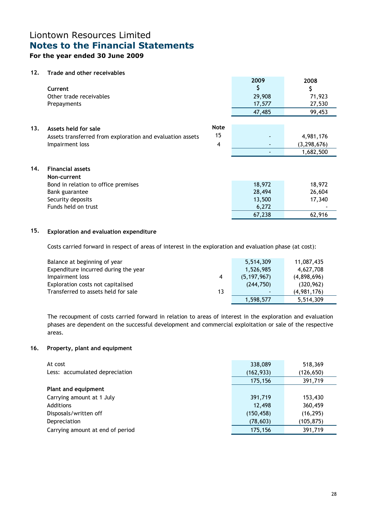### For the year ended 30 June 2009

### 12. Trade and other receivables

|     | Current<br>Other trade receivables<br>Prepayments                                                                                           |                        | 2009<br>Ş<br>29,908<br>17,577<br>47,485       | 2008<br>\$<br>71,923<br>27,530<br>99,453 |
|-----|---------------------------------------------------------------------------------------------------------------------------------------------|------------------------|-----------------------------------------------|------------------------------------------|
| 13. | Assets held for sale<br>Assets transferred from exploration and evaluation assets<br>Impairment loss                                        | <b>Note</b><br>15<br>4 | $\overline{\phantom{a}}$                      | 4,981,176<br>(3, 298, 676)<br>1,682,500  |
| 14. | <b>Financial assets</b><br>Non-current<br>Bond in relation to office premises<br>Bank guarantee<br>Security deposits<br>Funds held on trust |                        | 18,972<br>28,494<br>13,500<br>6,272<br>67,238 | 18,972<br>26,604<br>17,340<br>62,916     |

### 15. Exploration and evaluation expenditure

Costs carried forward in respect of areas of interest in the exploration and evaluation phase (at cost):

| Balance at beginning of year              | 5,514,309     | 11,087,435  |
|-------------------------------------------|---------------|-------------|
| Expenditure incurred during the year      | 1,526,985     | 4.627.708   |
| Impairment loss<br>4                      | (5, 197, 967) | (4,898,696) |
| Exploration costs not capitalised         | (244,750)     | (320, 962)  |
| Transferred to assets held for sale<br>13 |               | (4,981,176) |
|                                           | 1,598,577     | 5,514,309   |

The recoupment of costs carried forward in relation to areas of interest in the exploration and evaluation phases are dependent on the successful development and commercial exploitation or sale of the respective areas.

#### 16. Property, plant and equipment

| At cost                          | 338,089    | 518,369    |
|----------------------------------|------------|------------|
| Less: accumulated depreciation   | (162, 933) | (126, 650) |
|                                  | 175,156    | 391,719    |
| Plant and equipment              |            |            |
| Carrying amount at 1 July        | 391,719    | 153,430    |
| Additions                        | 12,498     | 360,459    |
| Disposals/written off            | (150, 458) | (16, 295)  |
| Depreciation                     | (78, 603)  | (105, 875) |
| Carrying amount at end of period | 175,156    | 391,719    |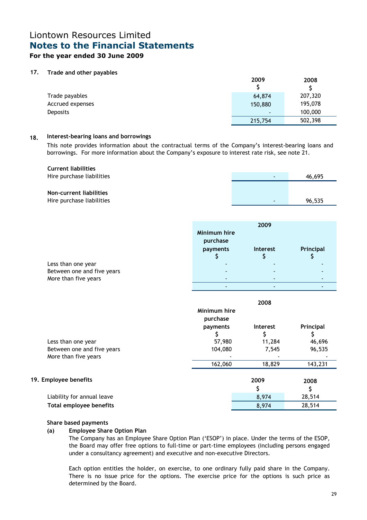### For the year ended 30 June 2009

#### 17. Trade and other payables

|                  | 2009           | 2008    |
|------------------|----------------|---------|
| Trade payables   | 64,874         | 207,320 |
| Accrued expenses | 150,880        | 195,078 |
| <b>Deposits</b>  | $\blacksquare$ | 100,000 |
|                  | 215,754        | 502,398 |

#### 18. Interest-bearing loans and borrowings

This note provides information about the contractual terms of the Company's interest-bearing loans and borrowings. For more information about the Company's exposure to interest rate risk, see note 21.

| <b>Current liabilities</b> |        |
|----------------------------|--------|
| Hire purchase liabilities  | 46,695 |
|                            |        |
| Non-current liabilities    |        |
| Hire purchase liabilities  | 96,535 |

|                            |              | 2009                     |           |
|----------------------------|--------------|--------------------------|-----------|
|                            | Minimum hire |                          |           |
|                            | purchase     |                          |           |
|                            | payments     | Interest                 | Principal |
|                            |              |                          |           |
| Less than one year         |              |                          |           |
| Between one and five years | $\sim$       | $\overline{\phantom{a}}$ |           |
| More than five years       | $\sim$       |                          |           |

- - -

|                                | Minimum hire<br>purchase | 2008     |           |
|--------------------------------|--------------------------|----------|-----------|
|                                | payments                 | Interest | Principal |
|                                |                          |          |           |
| Less than one year             | 57,980                   | 11,284   | 46,696    |
| Between one and five years     | 104,080                  | 7,545    | 96,535    |
| More than five years           |                          |          |           |
|                                | 162,060                  | 18,829   | 143,231   |
| 19. Employee benefits          |                          | 2009     | 2008      |
|                                |                          |          |           |
| Liability for annual leave     |                          | 8,974    | 28,514    |
| <b>Total employee benefits</b> |                          | 8,974    | 28,514    |

#### Share based payments

#### (a) Employee Share Option Plan

 The Company has an Employee Share Option Plan ('ESOP') in place. Under the terms of the ESOP, the Board may offer free options to full-time or part-time employees (including persons engaged under a consultancy agreement) and executive and non-executive Directors.

 Each option entitles the holder, on exercise, to one ordinary fully paid share in the Company. There is no issue price for the options. The exercise price for the options is such price as determined by the Board.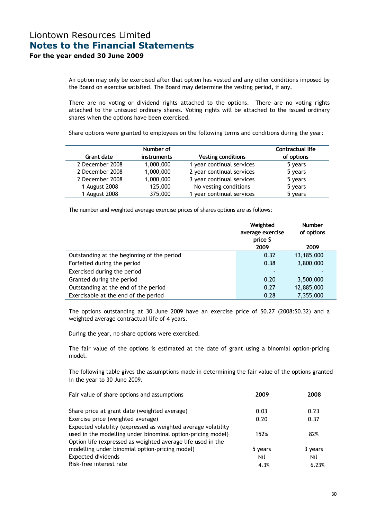An option may only be exercised after that option has vested and any other conditions imposed by the Board on exercise satisfied. The Board may determine the vesting period, if any.

 There are no voting or dividend rights attached to the options. There are no voting rights attached to the unissued ordinary shares. Voting rights will be attached to the issued ordinary shares when the options have been exercised.

Share options were granted to employees on the following terms and conditions during the year:

|                 | Number of   |                           | Contractual life |
|-----------------|-------------|---------------------------|------------------|
| Grant date      | instruments | <b>Vesting conditions</b> | of options       |
| 2 December 2008 | 1,000,000   | 1 year continual services | 5 years          |
| 2 December 2008 | 1,000,000   | 2 year continual services | 5 years          |
| 2 December 2008 | 1,000,000   | 3 year continual services | 5 years          |
| 1 August 2008   | 125,000     | No vesting conditions     | 5 years          |
| 1 August 2008   | 375,000     | 1 year continual services | 5 years          |

The number and weighted average exercise prices of shares options are as follows:

|                                            | Weighted<br>average exercise<br>price \$<br>2009 | <b>Number</b><br>of options<br>2009 |
|--------------------------------------------|--------------------------------------------------|-------------------------------------|
| Outstanding at the beginning of the period | 0.32                                             | 13,185,000                          |
| Forfeited during the period                | 0.38                                             | 3,800,000                           |
| Exercised during the period                |                                                  |                                     |
| Granted during the period                  | 0.20                                             | 3,500,000                           |
| Outstanding at the end of the period       | 0.27                                             | 12,885,000                          |
| Exercisable at the end of the period       | 0.28                                             | 7,355,000                           |

The options outstanding at 30 June 2009 have an exercise price of \$0.27 (2008:\$0.32) and a weighted average contractual life of 4 years.

During the year, no share options were exercised.

The fair value of the options is estimated at the date of grant using a binomial option-pricing model.

The following table gives the assumptions made in determining the fair value of the options granted in the year to 30 June 2009.

| Fair value of share options and assumptions                                                                                                                                                 | 2009    | 2008    |
|---------------------------------------------------------------------------------------------------------------------------------------------------------------------------------------------|---------|---------|
| Share price at grant date (weighted average)                                                                                                                                                | 0.03    | 0.23    |
| Exercise price (weighted average)                                                                                                                                                           | 0.20    | 0.37    |
| Expected volatility (expressed as weighted average volatility<br>used in the modelling under binominal option-pricing model)<br>Option life (expressed as weighted average life used in the | 152%    | 82%     |
| modelling under binomial option-pricing model)                                                                                                                                              | 5 years | 3 years |
| <b>Expected dividends</b>                                                                                                                                                                   | Nil     | Nil     |
| Risk-free interest rate                                                                                                                                                                     | 4.3%    | 6.23%   |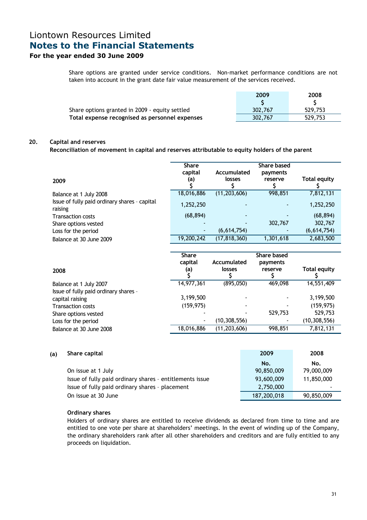### For the year ended 30 June 2009

Share options are granted under service conditions. Non-market performance conditions are not taken into account in the grant date fair value measurement of the services received.

|                                                | 2009    | 2008    |
|------------------------------------------------|---------|---------|
|                                                |         |         |
| Share options granted in 2009 - equity settled | 302,767 | 529,753 |
| Total expense recognised as personnel expenses | 302,767 | 529,753 |

#### 20. Capital and reserves

Reconciliation of movement in capital and reserves attributable to equity holders of the parent

|                                                          | <b>Share</b><br>capital | Accumulated    | <b>Share based</b><br>payments |                     |
|----------------------------------------------------------|-------------------------|----------------|--------------------------------|---------------------|
| 2009                                                     | (a)                     | losses         | reserve                        | <b>Total equity</b> |
| Balance at 1 July 2008                                   | 18,016,886              | (11, 203, 606) | 998,851                        | 7,812,131           |
| Issue of fully paid ordinary shares - capital<br>raising | 1,252,250               |                |                                | 1,252,250           |
| <b>Transaction costs</b>                                 | (68, 894)               |                |                                | (68, 894)           |
| Share options vested                                     |                         |                | 302,767                        | 302,767             |
| Loss for the period                                      |                         | (6,614,754)    |                                | (6,614,754)         |
| Balance at 30 June 2009                                  | 19,200,242              | (17, 818, 360) | 1,301,618                      | 2,683,500           |

|                                                                 | <b>Share</b><br>capital | Accumulated    | Share based<br>payments |                     |
|-----------------------------------------------------------------|-------------------------|----------------|-------------------------|---------------------|
| 2008                                                            | (a)                     | losses         | reserve                 | <b>Total equity</b> |
| Balance at 1 July 2007<br>Issue of fully paid ordinary shares - | 14,977,361              | (895,050)      | 469,098                 | 14,551,409          |
| capital raising                                                 | 3,199,500               |                |                         | 3,199,500           |
| <b>Transaction costs</b>                                        | (159, 975)              |                |                         | (159, 975)          |
| Share options vested                                            |                         |                | 529,753                 | 529,753             |
| Loss for the period                                             | $\blacksquare$          | (10, 308, 556) |                         | (10, 308, 556)      |
| Balance at 30 June 2008                                         | 18,016,886              | (11, 203, 606) | 998,851                 | 7,812,131           |

#### (a) Share capital 2009 2008

|                                                          | No.         | No.        |
|----------------------------------------------------------|-------------|------------|
| On issue at 1 July                                       | 90,850,009  | 79,000,009 |
| Issue of fully paid ordinary shares - entitlements issue | 93,600,009  | 11,850,000 |
| Issue of fully paid ordinary shares - placement          | 2,750,000   |            |
| On issue at 30 June                                      | 187,200,018 | 90,850,009 |

#### Ordinary shares

 Holders of ordinary shares are entitled to receive dividends as declared from time to time and are entitled to one vote per share at shareholders' meetings. In the event of winding up of the Company, the ordinary shareholders rank after all other shareholders and creditors and are fully entitled to any proceeds on liquidation.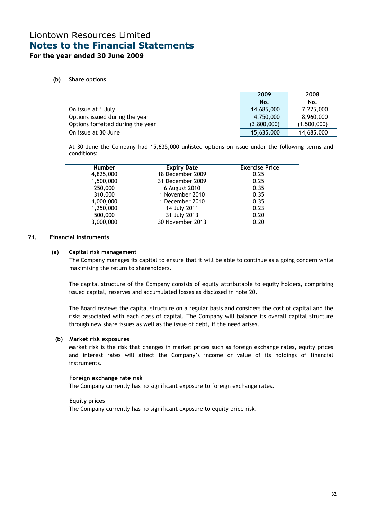### For the year ended 30 June 2009

#### (b) Share options

|                                   | 2009        | 2008        |
|-----------------------------------|-------------|-------------|
|                                   | No.         | No.         |
| On issue at 1 July                | 14,685,000  | 7,225,000   |
| Options issued during the year    | 4,750,000   | 8,960,000   |
| Options forfeited during the year | (3,800,000) | (1,500,000) |
| On issue at 30 June               | 15,635,000  | 14,685,000  |

At 30 June the Company had 15,635,000 unlisted options on issue under the following terms and conditions:

| <b>Number</b> | <b>Expiry Date</b> | <b>Exercise Price</b> |
|---------------|--------------------|-----------------------|
| 4,825,000     | 18 December 2009   | 0.25                  |
| 1,500,000     | 31 December 2009   | 0.25                  |
| 250,000       | 6 August 2010      | 0.35                  |
| 310,000       | 1 November 2010    | 0.35                  |
| 4,000,000     | 1 December 2010    | 0.35                  |
| 1,250,000     | 14 July 2011       | 0.23                  |
| 500,000       | 31 July 2013       | 0.20                  |
| 3,000,000     | 30 November 2013   | 0.20                  |
|               |                    |                       |

#### 21. Financial instruments

#### (a) Capital risk management

 The Company manages its capital to ensure that it will be able to continue as a going concern while maximising the return to shareholders.

The capital structure of the Company consists of equity attributable to equity holders, comprising issued capital, reserves and accumulated losses as disclosed in note 20.

The Board reviews the capital structure on a regular basis and considers the cost of capital and the risks associated with each class of capital. The Company will balance its overall capital structure through new share issues as well as the issue of debt, if the need arises.

#### (b) Market risk exposures

 Market risk is the risk that changes in market prices such as foreign exchange rates, equity prices and interest rates will affect the Company's income or value of its holdings of financial instruments.

#### Foreign exchange rate risk

The Company currently has no significant exposure to foreign exchange rates.

#### Equity prices

The Company currently has no significant exposure to equity price risk.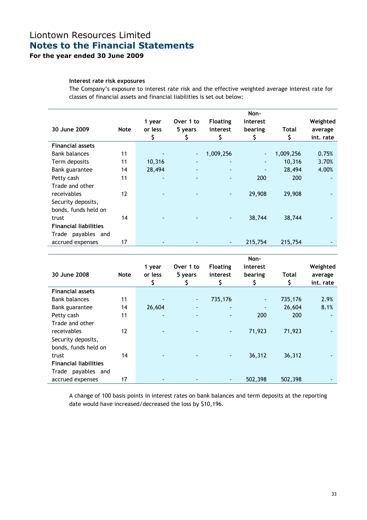## Liontown Resources Limited Notes to the Financial Statements For the year ended 30 June 2009

#### Interest rate risk exposures

 The Company's exposure to interest rate risk and the effective weighted average interest rate for classes of financial assets and financial liabilities is set out below:

| 30 June 2009                                                | <b>Note</b> | 1 year<br>or less<br>\$ | Over 1 to<br>5 years<br>\$   | <b>Floating</b><br>interest | Non-<br>interest<br>bearing<br>\$ | Total     | Weighted<br>average<br>int. rate |
|-------------------------------------------------------------|-------------|-------------------------|------------------------------|-----------------------------|-----------------------------------|-----------|----------------------------------|
| <b>Financial assets</b>                                     |             |                         |                              |                             |                                   |           |                                  |
| <b>Bank balances</b>                                        | 11          |                         | $\overline{\phantom{a}}$     | 1,009,256                   |                                   | 1,009,256 | 0.75%                            |
| Term deposits                                               | 11          | 10,316                  | $\qquad \qquad \blacksquare$ |                             | ۰                                 | 10,316    | 3.70%                            |
| Bank guarantee                                              | 14          | 28,494                  | $\overline{a}$               | $\blacksquare$              | ٠                                 | 28,494    | 4.00%                            |
| Petty cash<br>Trade and other                               | 11          | ۰                       |                              |                             | 200                               | 200       |                                  |
| receivables<br>Security deposits,<br>bonds, funds held on   | 12          |                         |                              |                             | 29,908                            | 29,908    |                                  |
| trust<br><b>Financial liabilities</b><br>Trade payables and | 14          |                         |                              |                             | 38,744                            | 38,744    |                                  |
| accrued expenses                                            | 17          |                         |                              |                             | 215,754                           | 215,754   |                                  |

|                              |             |                |                              |                 | Non-     |         |           |
|------------------------------|-------------|----------------|------------------------------|-----------------|----------|---------|-----------|
|                              |             | 1 year         | Over 1 to                    | <b>Floating</b> | interest |         | Weighted  |
| 30 June 2008                 | <b>Note</b> | or less        | 5 years                      | interest        | bearing  | Total   | average   |
|                              |             |                |                              |                 |          |         | int. rate |
| <b>Financial assets</b>      |             |                |                              |                 |          |         |           |
| <b>Bank balances</b>         | 11          |                | $\blacksquare$               | 735,176         | ٠        | 735,176 | 2.9%      |
| Bank guarantee               | 14          | 26,604         | $\qquad \qquad \blacksquare$ |                 |          | 26,604  | 8.1%      |
| Petty cash                   | 11          | ٠              |                              | ٠               | 200      | 200     |           |
| Trade and other              |             |                |                              |                 |          |         |           |
| receivables                  | 12          | $\blacksquare$ | $\qquad \qquad \blacksquare$ | $\blacksquare$  | 71,923   | 71,923  |           |
| Security deposits,           |             |                |                              |                 |          |         |           |
| bonds, funds held on         |             |                |                              |                 |          |         |           |
| trust                        | 14          |                |                              | ٠               | 36,312   | 36,312  |           |
| <b>Financial liabilities</b> |             |                |                              |                 |          |         |           |
| Trade payables and           |             |                |                              |                 |          |         |           |
| accrued expenses             | 17          | ٠              | $\overline{\phantom{a}}$     |                 | 502,398  | 502,398 |           |

A change of 100 basis points in interest rates on bank balances and term deposits at the reporting date would have increased/decreased the loss by \$10,196.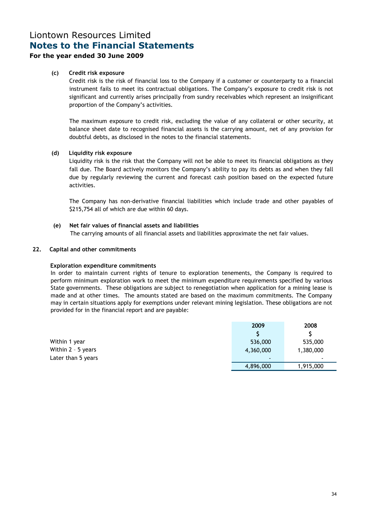### For the year ended 30 June 2009

#### (c) Credit risk exposure

 Credit risk is the risk of financial loss to the Company if a customer or counterparty to a financial instrument fails to meet its contractual obligations. The Company's exposure to credit risk is not significant and currently arises principally from sundry receivables which represent an insignificant proportion of the Company's activities.

The maximum exposure to credit risk, excluding the value of any collateral or other security, at balance sheet date to recognised financial assets is the carrying amount, net of any provision for doubtful debts, as disclosed in the notes to the financial statements.

#### (d) Liquidity risk exposure

 Liquidity risk is the risk that the Company will not be able to meet its financial obligations as they fall due. The Board actively monitors the Company's ability to pay its debts as and when they fall due by regularly reviewing the current and forecast cash position based on the expected future activities.

The Company has non-derivative financial liabilities which include trade and other payables of \$215,754 all of which are due within 60 days.

#### (e) Net fair values of financial assets and liabilities

The carrying amounts of all financial assets and liabilities approximate the net fair values.

#### 22. Capital and other commitments

#### Exploration expenditure commitments

In order to maintain current rights of tenure to exploration tenements, the Company is required to perform minimum exploration work to meet the minimum expenditure requirements specified by various State governments. These obligations are subject to renegotiation when application for a mining lease is made and at other times. The amounts stated are based on the maximum commitments. The Company may in certain situations apply for exemptions under relevant mining legislation. These obligations are not provided for in the financial report and are payable:

|                    | 2009           | 2008      |
|--------------------|----------------|-----------|
|                    |                |           |
| Within 1 year      | 536,000        | 535,000   |
| Within 2 - 5 years | 4,360,000      | 1,380,000 |
| Later than 5 years | $\blacksquare$ |           |
|                    | 4,896,000      | 1,915,000 |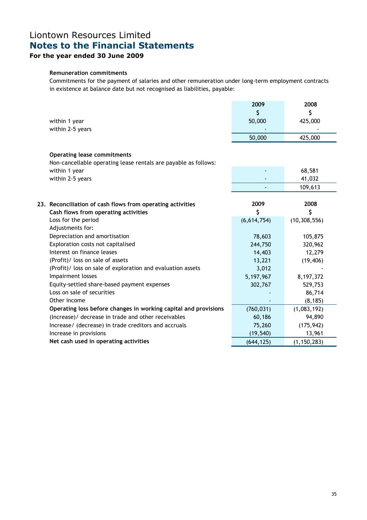## For the year ended 30 June 2009

#### Remuneration commitments

Commitments for the payment of salaries and other remuneration under long-term employment contracts in existence at balance date but not recognised as liabilities, payable:

|                                                                 | 2009        | 2008           |
|-----------------------------------------------------------------|-------------|----------------|
|                                                                 | \$          | \$             |
| within 1 year                                                   | 50,000      | 425,000        |
| within 2-5 years                                                |             |                |
|                                                                 | 50,000      | 425,000        |
| <b>Operating lease commitments</b>                              |             |                |
| Non-cancellable operating lease rentals are payable as follows: |             |                |
| within 1 year                                                   |             | 68,581         |
| within 2-5 years                                                |             | 41,032         |
|                                                                 |             | 109,613        |
|                                                                 |             |                |
| 23. Reconciliation of cash flows from operating activities      | 2009        | 2008           |
| Cash flows from operating activities                            | \$          | \$             |
| Loss for the period                                             | (6,614,754) | (10, 308, 556) |
| Adjustments for:                                                |             |                |
| Depreciation and amortisation                                   | 78,603      | 105,875        |
| Exploration costs not capitalised                               | 244,750     | 320,962        |
| Interest on finance leases                                      | 14,403      | 12,279         |
| (Profit)/ loss on sale of assets                                | 13,221      | (19, 406)      |
| (Profit)/ loss on sale of exploration and evaluation assets     | 3,012       |                |
| Impairment losses                                               | 5,197,967   | 8,197,372      |
| Equity-settled share-based payment expenses                     | 302,767     | 529,753        |
| Loss on sale of securities                                      |             | 86,714         |
| Other income                                                    |             | (8, 185)       |
| Operating loss before changes in working capital and provisions | (760, 031)  | (1,083,192)    |
| (Increase)/ decrease in trade and other receivables             | 60,186      | 94,890         |
| Increase/ (decrease) in trade creditors and accruals            | 75,260      | (175, 942)     |
| Increase in provisions                                          | (19, 540)   | 13,961         |
| Net cash used in operating activities                           | (644, 125)  | (1, 150, 283)  |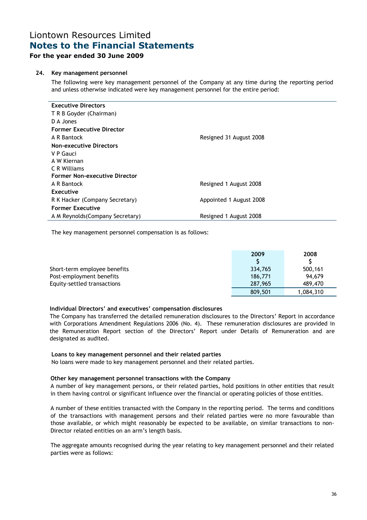### For the year ended 30 June 2009

#### 24. Key management personnel

The following were key management personnel of the Company at any time during the reporting period and unless otherwise indicated were key management personnel for the entire period:

| <b>Executive Directors</b>           |                         |
|--------------------------------------|-------------------------|
| T R B Goyder (Chairman)              |                         |
| D A Jones                            |                         |
| <b>Former Executive Director</b>     |                         |
| A R Bantock                          | Resigned 31 August 2008 |
| <b>Non-executive Directors</b>       |                         |
| V P Gauci                            |                         |
| A W Kiernan                          |                         |
| C R Williams                         |                         |
| <b>Former Non-executive Director</b> |                         |
| A R Bantock                          | Resigned 1 August 2008  |
| Executive                            |                         |
| R K Hacker (Company Secretary)       | Appointed 1 August 2008 |
| <b>Former Executive</b>              |                         |
| A M Reynolds (Company Secretary)     | Resigned 1 August 2008  |

The key management personnel compensation is as follows:

|                              | 2009    | 2008      |
|------------------------------|---------|-----------|
|                              |         |           |
| Short-term employee benefits | 334,765 | 500,161   |
| Post-employment benefits     | 186,771 | 94.679    |
| Equity-settled transactions  | 287,965 | 489,470   |
|                              | 809,501 | 1,084,310 |

#### Individual Directors' and executives' compensation disclosures

The Company has transferred the detailed remuneration disclosures to the Directors' Report in accordance with Corporations Amendment Regulations 2006 (No. 4). These remuneration disclosures are provided in the Remuneration Report section of the Directors' Report under Details of Remuneration and are designated as audited.

#### Loans to key management personnel and their related parties

No loans were made to key management personnel and their related parties.

#### Other key management personnel transactions with the Company

A number of key management persons, or their related parties, hold positions in other entities that result in them having control or significant influence over the financial or operating policies of those entities.

A number of these entities transacted with the Company in the reporting period. The terms and conditions of the transactions with management persons and their related parties were no more favourable than those available, or which might reasonably be expected to be available, on similar transactions to non-Director related entities on an arm's length basis.

The aggregate amounts recognised during the year relating to key management personnel and their related parties were as follows: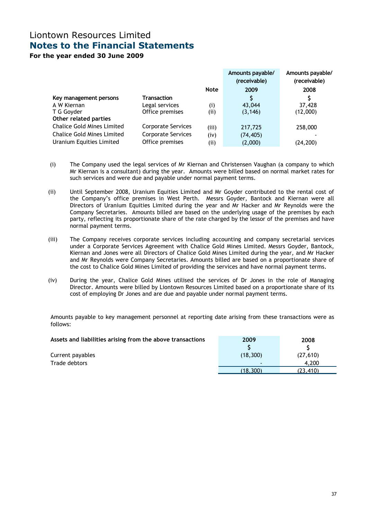For the year ended 30 June 2009

|                                   |                           |             | Amounts payable/<br>(receivable) | Amounts payable/<br>(receivable) |
|-----------------------------------|---------------------------|-------------|----------------------------------|----------------------------------|
|                                   |                           | <b>Note</b> | 2009                             | 2008                             |
| Key management persons            | Transaction               |             | S                                |                                  |
| A W Kiernan                       | Legal services            | (i)         | 43,044                           | 37,428                           |
| T G Goyder                        | Office premises           | (i)         | (3, 146)                         | (12,000)                         |
| Other related parties             |                           |             |                                  |                                  |
| <b>Chalice Gold Mines Limited</b> | <b>Corporate Services</b> | (iii)       | 217,725                          | 258,000                          |
| <b>Chalice Gold Mines Limited</b> | Corporate Services        | (iv)        | (74, 405)                        |                                  |
| Uranium Equities Limited          | Office premises           | (ii)        | (2,000)                          | (24, 200)                        |

- (i) The Company used the legal services of Mr Kiernan and Christensen Vaughan (a company to which Mr Kiernan is a consultant) during the year. Amounts were billed based on normal market rates for such services and were due and payable under normal payment terms.
- (ii) Until September 2008, Uranium Equities Limited and Mr Goyder contributed to the rental cost of the Company's office premises in West Perth. Messrs Goyder, Bantock and Kiernan were all Directors of Uranium Equities Limited during the year and Mr Hacker and Mr Reynolds were the Company Secretaries. Amounts billed are based on the underlying usage of the premises by each party, reflecting its proportionate share of the rate charged by the lessor of the premises and have normal payment terms.
- (iii) The Company receives corporate services including accounting and company secretarial services under a Corporate Services Agreement with Chalice Gold Mines Limited. Messrs Goyder, Bantock, Kiernan and Jones were all Directors of Chalice Gold Mines Limited during the year, and Mr Hacker and Mr Reynolds were Company Secretaries. Amounts billed are based on a proportionate share of the cost to Chalice Gold Mines Limited of providing the services and have normal payment terms.
- (iv) During the year, Chalice Gold Mines utilised the services of Dr Jones in the role of Managing Director. Amounts were billed by Liontown Resources Limited based on a proportionate share of its cost of employing Dr Jones and are due and payable under normal payment terms.

Amounts payable to key management personnel at reporting date arising from these transactions were as follows:

| Assets and liabilities arising from the above transactions | 2009     | 2008     |
|------------------------------------------------------------|----------|----------|
|                                                            |          |          |
| Current payables                                           | (18.300) | (27,610) |
| Trade debtors                                              |          | 4.200    |
|                                                            | (18.300) | (23,410) |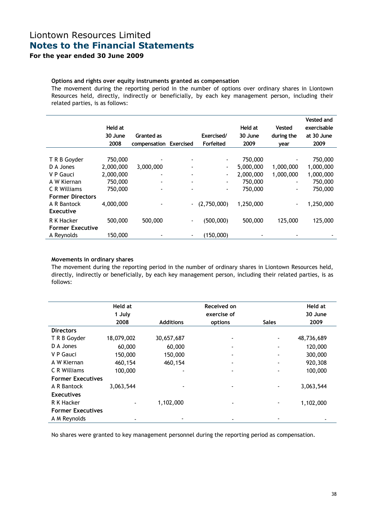## Liontown Resources Limited Notes to the Financial Statements For the year ended 30 June 2009

### Options and rights over equity instruments granted as compensation

The movement during the reporting period in the number of options over ordinary shares in Liontown Resources held, directly, indirectly or beneficially, by each key management person, including their related parties, is as follows:

|                         | Held at<br>30 June | Granted as   |                  | Exercised/               | Held at<br>30 June | Vested<br>during the     | <b>Vested and</b><br>exercisable<br>at 30 June |
|-------------------------|--------------------|--------------|------------------|--------------------------|--------------------|--------------------------|------------------------------------------------|
|                         | 2008               | compensation | <b>Exercised</b> | Forfeited                | 2009               | year                     | 2009                                           |
| T R B Goyder            | 750,000            |              | $\blacksquare$   | $\overline{\phantom{a}}$ | 750,000            | $\overline{\phantom{a}}$ | 750,000                                        |
| D A Jones               | 2,000,000          | 3,000,000    |                  | $\overline{\phantom{a}}$ | 5,000,000          | 1,000,000                | 1,000,000                                      |
| V P Gauci               | 2,000,000          |              |                  | $\overline{\phantom{0}}$ | 2,000,000          | 1,000,000                | 1,000,000                                      |
| A W Kiernan             | 750,000            |              | $\blacksquare$   | $\overline{\phantom{a}}$ | 750,000            | $\overline{\phantom{a}}$ | 750,000                                        |
| C R Williams            | 750,000            |              |                  | -                        | 750,000            | $\blacksquare$           | 750,000                                        |
| <b>Former Directors</b> |                    |              |                  |                          |                    |                          |                                                |
| A R Bantock             | 4,000,000          |              | $\blacksquare$   | (2,750,000)              | 1,250,000          | $\overline{\phantom{a}}$ | 1,250,000                                      |
| <b>Executive</b>        |                    |              |                  |                          |                    |                          |                                                |
| R K Hacker              | 500,000            | 500,000      | $\overline{a}$   | (500,000)                | 500,000            | 125,000                  | 125,000                                        |
| <b>Former Executive</b> |                    |              |                  |                          |                    |                          |                                                |
| A Reynolds              | 150,000            |              |                  | (150,000)                |                    |                          |                                                |

#### Movements in ordinary shares

The movement during the reporting period in the number of ordinary shares in Liontown Resources held, directly, indirectly or beneficially, by each key management person, including their related parties, is as follows:

|                          | Held at                  |                  | Received on |                          | Held at    |
|--------------------------|--------------------------|------------------|-------------|--------------------------|------------|
|                          | 1 July                   |                  | exercise of |                          | 30 June    |
|                          | 2008                     | <b>Additions</b> | options     | <b>Sales</b>             | 2009       |
| <b>Directors</b>         |                          |                  |             |                          |            |
| T R B Goyder             | 18,079,002               | 30,657,687       |             | -                        | 48,736,689 |
| D A Jones                | 60,000                   | 60,000           | ۰           | $\overline{\phantom{a}}$ | 120,000    |
| V P Gauci                | 150,000                  | 150,000          |             | $\overline{\phantom{a}}$ | 300,000    |
| A W Kiernan              | 460,154                  | 460,154          |             | $\overline{\phantom{a}}$ | 920,308    |
| C R Williams             | 100,000                  | ۰                |             | $\blacksquare$           | 100,000    |
| <b>Former Executives</b> |                          |                  |             |                          |            |
| A R Bantock              | 3,063,544                |                  |             | -                        | 3,063,544  |
| <b>Executives</b>        |                          |                  |             |                          |            |
| R K Hacker               |                          | 1,102,000        |             | ٠                        | 1,102,000  |
| <b>Former Executives</b> |                          |                  |             |                          |            |
| A M Reynolds             | $\overline{\phantom{0}}$ |                  |             |                          |            |

No shares were granted to key management personnel during the reporting period as compensation.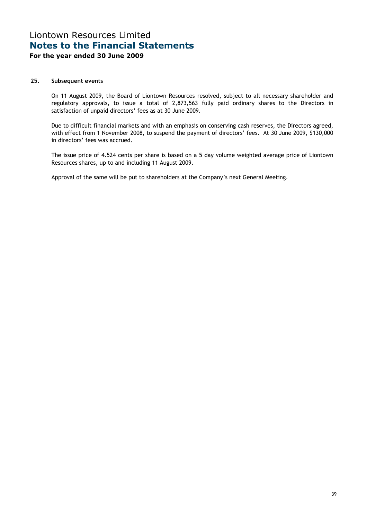### For the year ended 30 June 2009

#### 25. Subsequent events

On 11 August 2009, the Board of Liontown Resources resolved, subject to all necessary shareholder and regulatory approvals, to issue a total of 2,873,563 fully paid ordinary shares to the Directors in satisfaction of unpaid directors' fees as at 30 June 2009.

Due to difficult financial markets and with an emphasis on conserving cash reserves, the Directors agreed, with effect from 1 November 2008, to suspend the payment of directors' fees. At 30 June 2009, \$130,000 in directors' fees was accrued.

The issue price of 4.524 cents per share is based on a 5 day volume weighted average price of Liontown Resources shares, up to and including 11 August 2009.

Approval of the same will be put to shareholders at the Company's next General Meeting.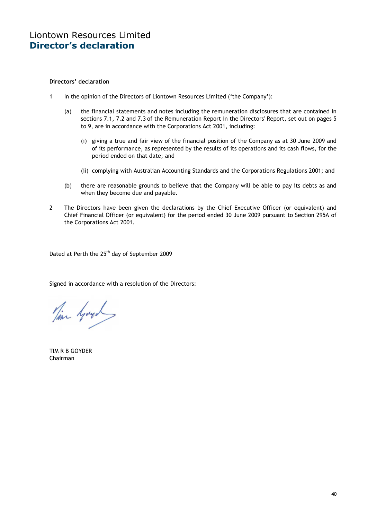#### Directors' declaration

- 1 In the opinion of the Directors of Liontown Resources Limited ('the Company'):
	- (a) the financial statements and notes including the remuneration disclosures that are contained in sections 7.1, 7.2 and 7.3 of the Remuneration Report in the Directors' Report, set out on pages 5 to 9, are in accordance with the Corporations Act 2001, including:
		- (i) giving a true and fair view of the financial position of the Company as at 30 June 2009 and of its performance, as represented by the results of its operations and its cash flows, for the period ended on that date; and
		- (ii) complying with Australian Accounting Standards and the Corporations Regulations 2001; and
	- (b) there are reasonable grounds to believe that the Company will be able to pay its debts as and when they become due and payable.
- 2 The Directors have been given the declarations by the Chief Executive Officer (or equivalent) and Chief Financial Officer (or equivalent) for the period ended 30 June 2009 pursuant to Section 295A of the Corporations Act 2001.

Dated at Perth the 25<sup>th</sup> day of September 2009

Signed in accordance with a resolution of the Directors:

Time Goyol

TIM R B GOYDER Chairman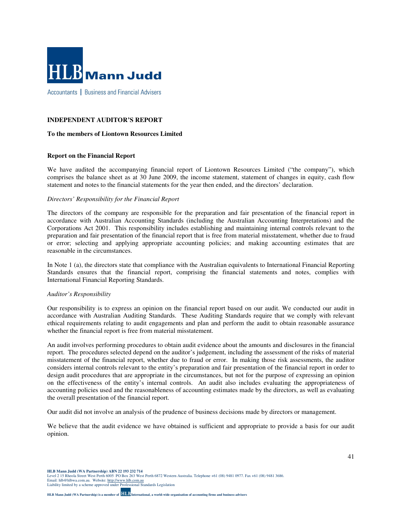

#### **INDEPENDENT AUDITOR'S REPORT**

#### **To the members of Liontown Resources Limited**

#### **Report on the Financial Report**

We have audited the accompanying financial report of Liontown Resources Limited ("the company"), which comprises the balance sheet as at 30 June 2009, the income statement, statement of changes in equity, cash flow statement and notes to the financial statements for the year then ended, and the directors' declaration.

#### *Directors' Responsibility for the Financial Report*

The directors of the company are responsible for the preparation and fair presentation of the financial report in accordance with Australian Accounting Standards (including the Australian Accounting Interpretations) and the Corporations Act 2001. This responsibility includes establishing and maintaining internal controls relevant to the preparation and fair presentation of the financial report that is free from material misstatement, whether due to fraud or error; selecting and applying appropriate accounting policies; and making accounting estimates that are reasonable in the circumstances.

In Note 1 (a), the directors state that compliance with the Australian equivalents to International Financial Reporting Standards ensures that the financial report, comprising the financial statements and notes, complies with International Financial Reporting Standards.

#### *Auditor's Responsibility*

Our responsibility is to express an opinion on the financial report based on our audit. We conducted our audit in accordance with Australian Auditing Standards. These Auditing Standards require that we comply with relevant ethical requirements relating to audit engagements and plan and perform the audit to obtain reasonable assurance whether the financial report is free from material misstatement.

An audit involves performing procedures to obtain audit evidence about the amounts and disclosures in the financial report. The procedures selected depend on the auditor's judgement, including the assessment of the risks of material misstatement of the financial report, whether due to fraud or error. In making those risk assessments, the auditor considers internal controls relevant to the entity's preparation and fair presentation of the financial report in order to design audit procedures that are appropriate in the circumstances, but not for the purpose of expressing an opinion on the effectiveness of the entity's internal controls. An audit also includes evaluating the appropriateness of accounting policies used and the reasonableness of accounting estimates made by the directors, as well as evaluating the overall presentation of the financial report.

Our audit did not involve an analysis of the prudence of business decisions made by directors or management.

We believe that the audit evidence we have obtained is sufficient and appropriate to provide a basis for our audit opinion.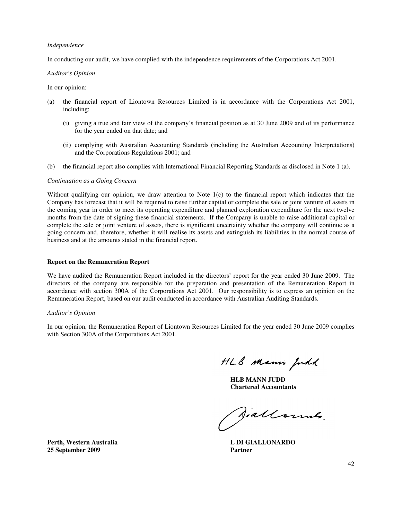#### *Independence*

In conducting our audit, we have complied with the independence requirements of the Corporations Act 2001.

#### *Auditor's Opinion*

In our opinion:

- (a) the financial report of Liontown Resources Limited is in accordance with the Corporations Act 2001, including:
	- (i) giving a true and fair view of the company's financial position as at 30 June 2009 and of its performance for the year ended on that date; and
	- (ii) complying with Australian Accounting Standards (including the Australian Accounting Interpretations) and the Corporations Regulations 2001; and
- (b) the financial report also complies with International Financial Reporting Standards as disclosed in Note 1 (a).

#### *Continuation as a Going Concern*

Without qualifying our opinion, we draw attention to Note 1(c) to the financial report which indicates that the Company has forecast that it will be required to raise further capital or complete the sale or joint venture of assets in the coming year in order to meet its operating expenditure and planned exploration expenditure for the next twelve months from the date of signing these financial statements. If the Company is unable to raise additional capital or complete the sale or joint venture of assets, there is significant uncertainty whether the company will continue as a going concern and, therefore, whether it will realise its assets and extinguish its liabilities in the normal course of business and at the amounts stated in the financial report.

#### **Report on the Remuneration Report**

We have audited the Remuneration Report included in the directors' report for the year ended 30 June 2009. The directors of the company are responsible for the preparation and presentation of the Remuneration Report in accordance with section 300A of the Corporations Act 2001. Our responsibility is to express an opinion on the Remuneration Report, based on our audit conducted in accordance with Australian Auditing Standards.

#### *Auditor's Opinion*

In our opinion, the Remuneration Report of Liontown Resources Limited for the year ended 30 June 2009 complies with Section 300A of the Corporations Act 2001.

HLB Mann Judd

**HLB MANN JUDD Chartered Accountants** 

Aiallonne.

**Perth, Western Australia L DI GIALLONARDO 25 September 2009 Partner**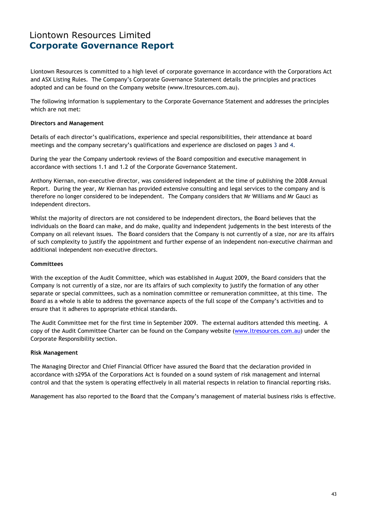## Liontown Resources Limited Corporate Governance Report

Liontown Resources is committed to a high level of corporate governance in accordance with the Corporations Act and ASX Listing Rules. The Company's Corporate Governance Statement details the principles and practices adopted and can be found on the Company website (www.ltresources.com.au).

The following information is supplementary to the Corporate Governance Statement and addresses the principles which are not met:

#### Directors and Management

Details of each director's qualifications, experience and special responsibilities, their attendance at board meetings and the company secretary's qualifications and experience are disclosed on pages 3 and 4.

During the year the Company undertook reviews of the Board composition and executive management in accordance with sections 1.1 and 1.2 of the Corporate Governance Statement.

Anthony Kiernan, non-executive director, was considered independent at the time of publishing the 2008 Annual Report. During the year, Mr Kiernan has provided extensive consulting and legal services to the company and is therefore no longer considered to be independent. The Company considers that Mr Williams and Mr Gauci as independent directors.

Whilst the majority of directors are not considered to be independent directors, the Board believes that the individuals on the Board can make, and do make, quality and independent judgements in the best interests of the Company on all relevant issues. The Board considers that the Company is not currently of a size, nor are its affairs of such complexity to justify the appointment and further expense of an independent non-executive chairman and additional independent non-executive directors.

#### **Committees**

With the exception of the Audit Committee, which was established in August 2009, the Board considers that the Company is not currently of a size, nor are its affairs of such complexity to justify the formation of any other separate or special committees, such as a nomination committee or remuneration committee, at this time. The Board as a whole is able to address the governance aspects of the full scope of the Company's activities and to ensure that it adheres to appropriate ethical standards.

The Audit Committee met for the first time in September 2009. The external auditors attended this meeting. A copy of the Audit Committee Charter can be found on the Company website (www.ltresources.com.au) under the Corporate Responsibility section.

#### Risk Management

The Managing Director and Chief Financial Officer have assured the Board that the declaration provided in accordance with s295A of the Corporations Act is founded on a sound system of risk management and internal control and that the system is operating effectively in all material respects in relation to financial reporting risks.

Management has also reported to the Board that the Company's management of material business risks is effective.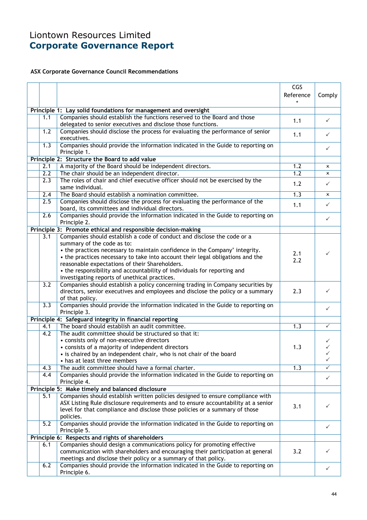# Liontown Resources Limited Corporate Governance Report

### ASX Corporate Governance Council Recommendations

|                                                  |                                                                                                                                                    | CGS<br>Reference | Comply       |  |  |  |
|--------------------------------------------------|----------------------------------------------------------------------------------------------------------------------------------------------------|------------------|--------------|--|--|--|
|                                                  |                                                                                                                                                    | $\star$          |              |  |  |  |
|                                                  | Principle 1: Lay solid foundations for management and oversight                                                                                    |                  |              |  |  |  |
| 1.1                                              | Companies should establish the functions reserved to the Board and those<br>delegated to senior executives and disclose those functions.           | 1.1              | $\checkmark$ |  |  |  |
| 1.2                                              | Companies should disclose the process for evaluating the performance of senior<br>executives.                                                      | 1.1              | $\checkmark$ |  |  |  |
| 1.3                                              | Companies should provide the information indicated in the Guide to reporting on<br>Principle 1.                                                    |                  | $\checkmark$ |  |  |  |
|                                                  | Principle 2: Structure the Board to add value                                                                                                      |                  |              |  |  |  |
| 2.1                                              | A majority of the Board should be independent directors.                                                                                           | 1.2              | $\mathsf{x}$ |  |  |  |
| 2.2                                              | The chair should be an independent director.                                                                                                       | 1.2              | $\mathsf{x}$ |  |  |  |
| 2.3                                              | The roles of chair and chief executive officer should not be exercised by the<br>same individual.                                                  | 1.2              | $\checkmark$ |  |  |  |
| 2.4                                              | The Board should establish a nomination committee.                                                                                                 | 1.3              | x            |  |  |  |
| 2.5                                              | Companies should disclose the process for evaluating the performance of the<br>board, its committees and individual directors.                     | 1.1              | $\checkmark$ |  |  |  |
| 2.6                                              | Companies should provide the information indicated in the Guide to reporting on<br>Principle 2.                                                    |                  | $\checkmark$ |  |  |  |
|                                                  | Principle 3: Promote ethical and responsible decision-making                                                                                       |                  |              |  |  |  |
| 3.1                                              | Companies should establish a code of conduct and disclose the code or a                                                                            |                  |              |  |  |  |
|                                                  | summary of the code as to:                                                                                                                         |                  |              |  |  |  |
|                                                  | • the practices necessary to maintain confidence in the Company' integrity.                                                                        | 2.1              | ✓            |  |  |  |
|                                                  | • the practices necessary to take into account their legal obligations and the                                                                     | 2.2              |              |  |  |  |
|                                                  | reasonable expectations of their Shareholders.                                                                                                     |                  |              |  |  |  |
|                                                  | • the responsibility and accountability of individuals for reporting and                                                                           |                  |              |  |  |  |
| 3.2                                              | investigating reports of unethical practices.<br>Companies should establish a policy concerning trading in Company securities by                   |                  |              |  |  |  |
|                                                  | directors, senior executives and employees and disclose the policy or a summary                                                                    | 2.3              | ✓            |  |  |  |
|                                                  | of that policy.                                                                                                                                    |                  |              |  |  |  |
| 3.3                                              | Companies should provide the information indicated in the Guide to reporting on                                                                    |                  |              |  |  |  |
|                                                  | Principle 3.                                                                                                                                       |                  | $\checkmark$ |  |  |  |
|                                                  | Principle 4: Safeguard integrity in financial reporting                                                                                            |                  |              |  |  |  |
| 4.1                                              | The board should establish an audit committee.                                                                                                     | 1.3              | $\checkmark$ |  |  |  |
| 4.2                                              | The audit committee should be structured so that it:                                                                                               |                  |              |  |  |  |
|                                                  | • consists only of non-executive directors                                                                                                         |                  | ✓            |  |  |  |
|                                                  | • consists of a majority of independent directors                                                                                                  | 1.3              |              |  |  |  |
|                                                  | • is chaired by an independent chair, who is not chair of the board                                                                                |                  | ✓            |  |  |  |
|                                                  | • has at least three members                                                                                                                       |                  | ✓            |  |  |  |
| 4.3                                              | The audit committee should have a formal charter.                                                                                                  | 1.3              | ✓            |  |  |  |
| 4.4                                              | Companies should provide the information indicated in the Guide to reporting on<br>Principle 4.                                                    |                  | $\checkmark$ |  |  |  |
|                                                  | Principle 5: Make timely and balanced disclosure                                                                                                   |                  |              |  |  |  |
| 5.1                                              | Companies should establish written policies designed to ensure compliance with                                                                     |                  |              |  |  |  |
|                                                  | ASX Listing Rule disclosure requirements and to ensure accountability at a senior                                                                  |                  |              |  |  |  |
|                                                  | level for that compliance and disclose those policies or a summary of those                                                                        | 3.1              | ✓            |  |  |  |
|                                                  | policies.                                                                                                                                          |                  |              |  |  |  |
| 5.2                                              | Companies should provide the information indicated in the Guide to reporting on                                                                    |                  | ✓            |  |  |  |
|                                                  | Principle 5.                                                                                                                                       |                  |              |  |  |  |
| Principle 6: Respects and rights of shareholders |                                                                                                                                                    |                  |              |  |  |  |
| 6.1                                              | Companies should design a communications policy for promoting effective                                                                            |                  |              |  |  |  |
|                                                  | communication with shareholders and encouraging their participation at general                                                                     | 3.2              | ✓            |  |  |  |
| 6.2                                              | meetings and disclose their policy or a summary of that policy.<br>Companies should provide the information indicated in the Guide to reporting on |                  |              |  |  |  |
|                                                  | Principle 6.                                                                                                                                       |                  | ✓            |  |  |  |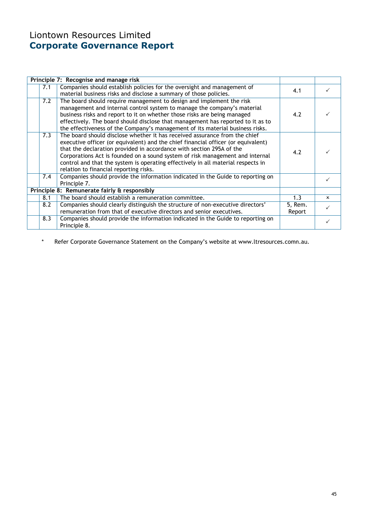# Liontown Resources Limited Corporate Governance Report

|     | Principle 7: Recognise and manage risk                                                                                                                    |         |              |  |
|-----|-----------------------------------------------------------------------------------------------------------------------------------------------------------|---------|--------------|--|
| 7.1 | Companies should establish policies for the oversight and management of                                                                                   | 4.1     |              |  |
|     | material business risks and disclose a summary of those policies.                                                                                         |         |              |  |
| 7.2 | The board should require management to design and implement the risk                                                                                      |         |              |  |
|     | management and internal control system to manage the company's material                                                                                   |         |              |  |
|     | business risks and report to it on whether those risks are being managed                                                                                  | 4.2     |              |  |
|     | effectively. The board should disclose that management has reported to it as to                                                                           |         |              |  |
|     | the effectiveness of the Company's management of its material business risks.                                                                             |         |              |  |
| 7.3 | The board should disclose whether it has received assurance from the chief                                                                                |         |              |  |
|     | executive officer (or equivalent) and the chief financial officer (or equivalent)<br>that the declaration provided in accordance with section 295A of the |         |              |  |
|     | 4.2                                                                                                                                                       |         |              |  |
|     | Corporations Act is founded on a sound system of risk management and internal                                                                             |         |              |  |
|     | control and that the system is operating effectively in all material respects in                                                                          |         |              |  |
|     | relation to financial reporting risks.                                                                                                                    |         |              |  |
| 7.4 | Companies should provide the information indicated in the Guide to reporting on                                                                           |         |              |  |
|     | Principle 7.                                                                                                                                              |         |              |  |
|     | Principle 8: Remunerate fairly & responsibly                                                                                                              |         |              |  |
| 8.1 | The board should establish a remuneration committee.                                                                                                      | 1.3     | $\mathbf{x}$ |  |
| 8.2 | Companies should clearly distinguish the structure of non-executive directors'                                                                            | 5, Rem. |              |  |
|     | remuneration from that of executive directors and senior executives.                                                                                      | Report  |              |  |
| 8.3 | Companies should provide the information indicated in the Guide to reporting on                                                                           |         |              |  |
|     | Principle 8.                                                                                                                                              |         |              |  |

\* Refer Corporate Governance Statement on the Company's website at www.ltresources.comn.au.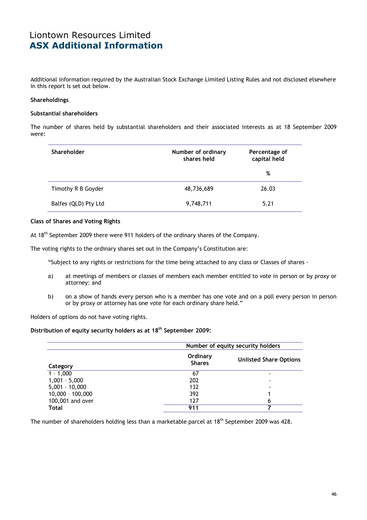## Liontown Resources Limited ASX Additional Information

Additional information required by the Australian Stock Exchange Limited Listing Rules and not disclosed elsewhere in this report is set out below.

#### Shareholdings

#### Substantial shareholders

The number of shares held by substantial shareholders and their associated interests as at 18 September 2009 were:

| <b>Shareholder</b>   | Number of ordinary<br>shares held | Percentage of<br>capital held |  |
|----------------------|-----------------------------------|-------------------------------|--|
|                      |                                   | %                             |  |
| Timothy R B Goyder   | 48,736,689                        | 26.03                         |  |
| Balfes (QLD) Pty Ltd | 9,748,711                         | 5.21                          |  |

#### Class of Shares and Voting Rights

At 18<sup>th</sup> September 2009 there were 911 holders of the ordinary shares of the Company.

The voting rights to the ordinary shares set out in the Company's Constitution are:

"Subject to any rights or restrictions for the time being attached to any class or Classes of shares -

- a) at meetings of members or classes of members each member entitled to vote in person or by proxy or attorney: and
- b) on a show of hands every person who is a member has one vote and on a poll every person in person or by proxy or attorney has one vote for each ordinary share held."

Holders of options do not have voting rights.

#### Distribution of equity security holders as at 18<sup>th</sup> September 2009:

|                    | Number of equity security holders |                               |  |  |
|--------------------|-----------------------------------|-------------------------------|--|--|
| Category           | Ordinary<br><b>Shares</b>         | <b>Unlisted Share Options</b> |  |  |
| $1 - 1,000$        | 67                                |                               |  |  |
| $1,001 - 5,000$    | 202                               |                               |  |  |
| $5,001 - 10,000$   | 132                               |                               |  |  |
| $10,000 - 100,000$ | 392                               |                               |  |  |
| 100,001 and over   | 127                               | 6                             |  |  |
| <b>Total</b>       | 911                               |                               |  |  |

The number of shareholders holding less than a marketable parcel at 18<sup>th</sup> September 2009 was 428.